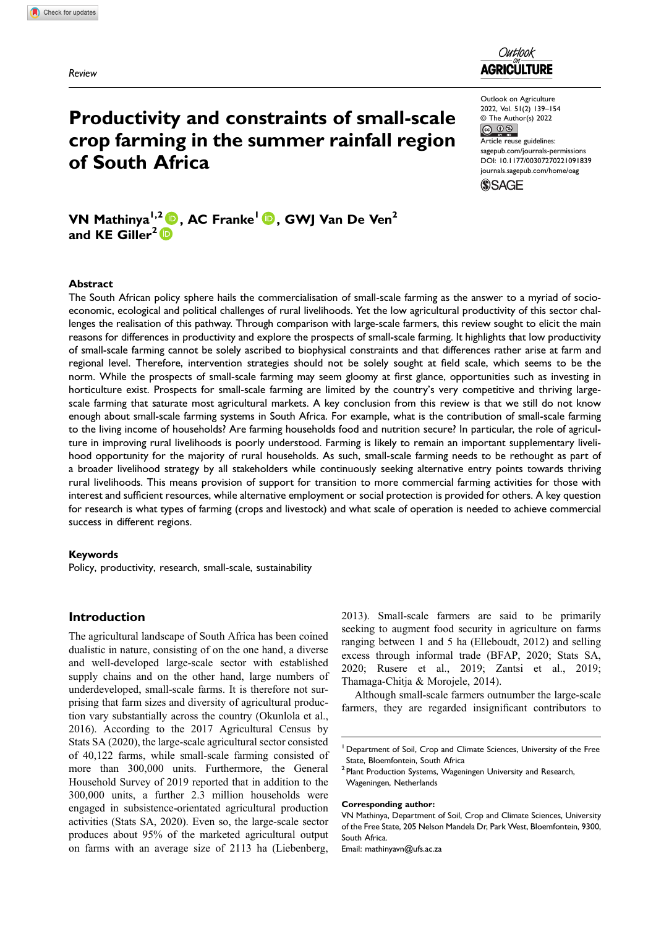Review



Outlook on Agriculture 2022, Vol. 51(2) 139–154 © The Author(s) 2022<br>© 0 S Article reuse guidelines: [sagepub.com/journals-permissions](https://us.sagepub.com/en-us/journals-permissions) [DOI: 10.1177/00307270221091839](https://doi.org/10.1177/00307270221091839) [journals.sagepub.com/home/oag](https://journals.sagepub.com/home/oag)

**SSAGE** 

# Productivity and constraints of small-scale crop farming in the summer rainfall region of South Africa

VN Mathinya<sup>1,2</sup> **D**, AC Franke<sup>1</sup> **D**, GWJ Van De Ven<sup>2</sup> and KE Giller<sup>2</sup> $\mathbb{\mathbb{D}}$ 

## Abstract

The South African policy sphere hails the commercialisation of small-scale farming as the answer to a myriad of socioeconomic, ecological and political challenges of rural livelihoods. Yet the low agricultural productivity of this sector challenges the realisation of this pathway. Through comparison with large-scale farmers, this review sought to elicit the main reasons for differences in productivity and explore the prospects of small-scale farming. It highlights that low productivity of small-scale farming cannot be solely ascribed to biophysical constraints and that differences rather arise at farm and regional level. Therefore, intervention strategies should not be solely sought at field scale, which seems to be the norm. While the prospects of small-scale farming may seem gloomy at first glance, opportunities such as investing in horticulture exist. Prospects for small-scale farming are limited by the country's very competitive and thriving largescale farming that saturate most agricultural markets. A key conclusion from this review is that we still do not know enough about small-scale farming systems in South Africa. For example, what is the contribution of small-scale farming to the living income of households? Are farming households food and nutrition secure? In particular, the role of agriculture in improving rural livelihoods is poorly understood. Farming is likely to remain an important supplementary livelihood opportunity for the majority of rural households. As such, small-scale farming needs to be rethought as part of a broader livelihood strategy by all stakeholders while continuously seeking alternative entry points towards thriving rural livelihoods. This means provision of support for transition to more commercial farming activities for those with interest and sufficient resources, while alternative employment or social protection is provided for others. A key question for research is what types of farming (crops and livestock) and what scale of operation is needed to achieve commercial success in different regions.

#### Keywords

Policy, productivity, research, small-scale, sustainability

## Introduction

The agricultural landscape of South Africa has been coined dualistic in nature, consisting of on the one hand, a diverse and well-developed large-scale sector with established supply chains and on the other hand, large numbers of underdeveloped, small-scale farms. It is therefore not surprising that farm sizes and diversity of agricultural production vary substantially across the country (Okunlola et al., 2016). According to the 2017 Agricultural Census by Stats SA (2020), the large-scale agricultural sector consisted of 40,122 farms, while small-scale farming consisted of more than 300,000 units. Furthermore, the General Household Survey of 2019 reported that in addition to the 300,000 units, a further 2.3 million households were engaged in subsistence-orientated agricultural production activities (Stats SA, 2020). Even so, the large-scale sector produces about 95% of the marketed agricultural output on farms with an average size of 2113 ha (Liebenberg,

2013). Small-scale farmers are said to be primarily seeking to augment food security in agriculture on farms ranging between 1 and 5 ha (Elleboudt, 2012) and selling excess through informal trade (BFAP, 2020; Stats SA, 2020; Rusere et al., 2019; Zantsi et al., 2019; Thamaga-Chitja & Morojele, 2014).

Although small-scale farmers outnumber the large-scale farmers, they are regarded insignificant contributors to

#### Corresponding author:

Email: [mathinyavn@ufs.ac.za](mailto:mathinyavn@ufs.ac.za)

<sup>&</sup>lt;sup>1</sup> Department of Soil, Crop and Climate Sciences, University of the Free State, Bloemfontein, South Africa

<sup>&</sup>lt;sup>2</sup> Plant Production Systems, Wageningen University and Research, Wageningen, Netherlands

VN Mathinya, Department of Soil, Crop and Climate Sciences, University of the Free State, 205 Nelson Mandela Dr, Park West, Bloemfontein, 9300, South Africa.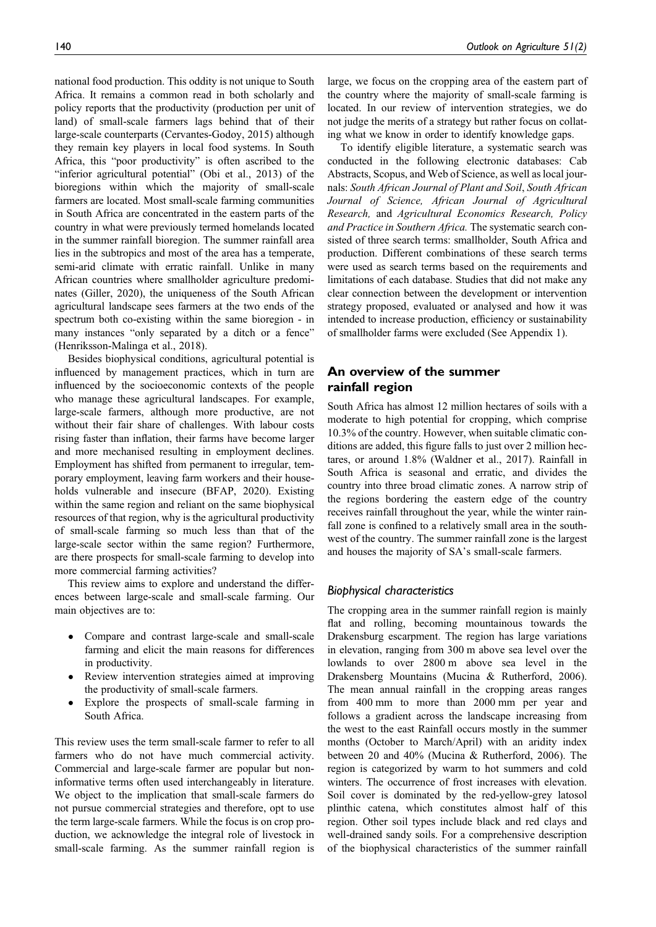national food production. This oddity is not unique to South Africa. It remains a common read in both scholarly and policy reports that the productivity (production per unit of land) of small-scale farmers lags behind that of their large-scale counterparts (Cervantes-Godoy, 2015) although they remain key players in local food systems. In South Africa, this "poor productivity" is often ascribed to the "inferior agricultural potential" (Obi et al., 2013) of the bioregions within which the majority of small-scale farmers are located. Most small-scale farming communities in South Africa are concentrated in the eastern parts of the country in what were previously termed homelands located in the summer rainfall bioregion. The summer rainfall area lies in the subtropics and most of the area has a temperate, semi-arid climate with erratic rainfall. Unlike in many African countries where smallholder agriculture predominates (Giller, 2020), the uniqueness of the South African agricultural landscape sees farmers at the two ends of the spectrum both co-existing within the same bioregion - in many instances "only separated by a ditch or a fence" (Henriksson-Malinga et al., 2018).

Besides biophysical conditions, agricultural potential is influenced by management practices, which in turn are influenced by the socioeconomic contexts of the people who manage these agricultural landscapes. For example, large-scale farmers, although more productive, are not without their fair share of challenges. With labour costs rising faster than inflation, their farms have become larger and more mechanised resulting in employment declines. Employment has shifted from permanent to irregular, temporary employment, leaving farm workers and their households vulnerable and insecure (BFAP, 2020). Existing within the same region and reliant on the same biophysical resources of that region, why is the agricultural productivity of small-scale farming so much less than that of the large-scale sector within the same region? Furthermore, are there prospects for small-scale farming to develop into more commercial farming activities?

This review aims to explore and understand the differences between large-scale and small-scale farming. Our main objectives are to:

- Compare and contrast large-scale and small-scale farming and elicit the main reasons for differences in productivity.
- Review intervention strategies aimed at improving the productivity of small-scale farmers.
- Explore the prospects of small-scale farming in South Africa.

This review uses the term small-scale farmer to refer to all farmers who do not have much commercial activity. Commercial and large-scale farmer are popular but noninformative terms often used interchangeably in literature. We object to the implication that small-scale farmers do not pursue commercial strategies and therefore, opt to use the term large-scale farmers. While the focus is on crop production, we acknowledge the integral role of livestock in small-scale farming. As the summer rainfall region is large, we focus on the cropping area of the eastern part of the country where the majority of small-scale farming is located. In our review of intervention strategies, we do not judge the merits of a strategy but rather focus on collating what we know in order to identify knowledge gaps.

To identify eligible literature, a systematic search was conducted in the following electronic databases: Cab Abstracts, Scopus, and Web of Science, as well as local journals: South African Journal of Plant and Soil, South African Journal of Science, African Journal of Agricultural Research, and Agricultural Economics Research, Policy and Practice in Southern Africa. The systematic search consisted of three search terms: smallholder, South Africa and production. Different combinations of these search terms were used as search terms based on the requirements and limitations of each database. Studies that did not make any clear connection between the development or intervention strategy proposed, evaluated or analysed and how it was intended to increase production, efficiency or sustainability of smallholder farms were excluded (See Appendix 1).

# An overview of the summer rainfall region

South Africa has almost 12 million hectares of soils with a moderate to high potential for cropping, which comprise 10.3% of the country. However, when suitable climatic conditions are added, this figure falls to just over 2 million hectares, or around 1.8% (Waldner et al., 2017). Rainfall in South Africa is seasonal and erratic, and divides the country into three broad climatic zones. A narrow strip of the regions bordering the eastern edge of the country receives rainfall throughout the year, while the winter rainfall zone is confined to a relatively small area in the southwest of the country. The summer rainfall zone is the largest and houses the majority of SA's small-scale farmers.

# Biophysical characteristics

The cropping area in the summer rainfall region is mainly flat and rolling, becoming mountainous towards the Drakensburg escarpment. The region has large variations in elevation, ranging from 300 m above sea level over the lowlands to over 2800 m above sea level in the Drakensberg Mountains (Mucina & Rutherford, 2006). The mean annual rainfall in the cropping areas ranges from 400 mm to more than 2000 mm per year and follows a gradient across the landscape increasing from the west to the east Rainfall occurs mostly in the summer months (October to March/April) with an aridity index between 20 and 40% (Mucina & Rutherford, 2006). The region is categorized by warm to hot summers and cold winters. The occurrence of frost increases with elevation. Soil cover is dominated by the red-yellow-grey latosol plinthic catena, which constitutes almost half of this region. Other soil types include black and red clays and well-drained sandy soils. For a comprehensive description of the biophysical characteristics of the summer rainfall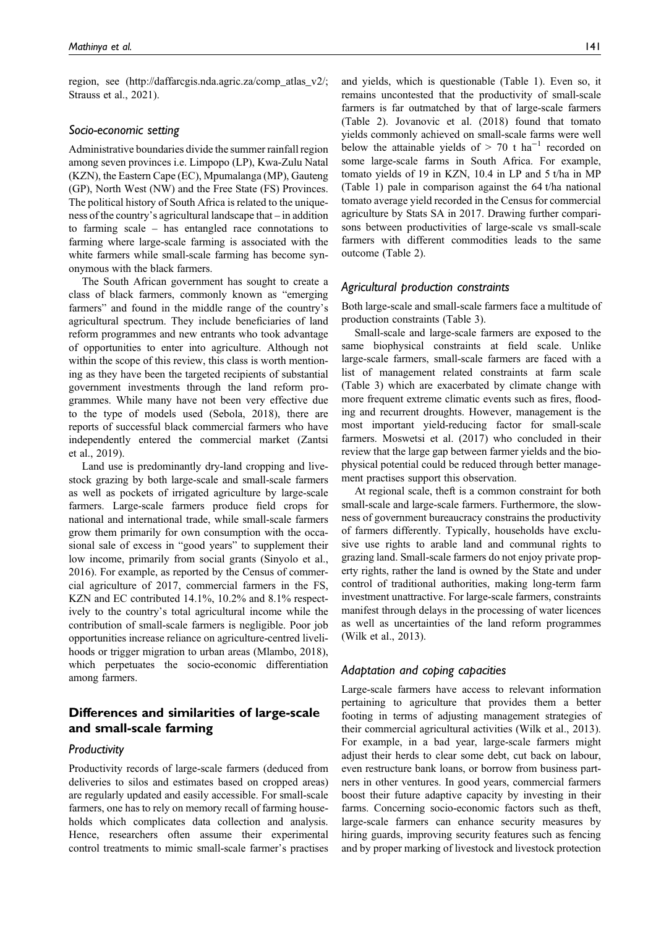region, see [\(http://daffarcgis.nda.agric.za/comp\\_atlas\\_v2/](http://daffarcgis.nda.agric.za/comp_atlas_v2/); Strauss et al., 2021).

## Socio-economic setting

Administrative boundaries divide the summer rainfall region among seven provinces i.e. Limpopo (LP), Kwa-Zulu Natal (KZN), the Eastern Cape (EC), Mpumalanga (MP), Gauteng (GP), North West (NW) and the Free State (FS) Provinces. The political history of South Africa is related to the uniqueness of the country's agricultural landscape that – in addition to farming scale – has entangled race connotations to farming where large-scale farming is associated with the white farmers while small-scale farming has become synonymous with the black farmers.

The South African government has sought to create a class of black farmers, commonly known as "emerging farmers" and found in the middle range of the country's agricultural spectrum. They include beneficiaries of land reform programmes and new entrants who took advantage of opportunities to enter into agriculture. Although not within the scope of this review, this class is worth mentioning as they have been the targeted recipients of substantial government investments through the land reform programmes. While many have not been very effective due to the type of models used (Sebola, 2018), there are reports of successful black commercial farmers who have independently entered the commercial market (Zantsi et al., 2019).

Land use is predominantly dry-land cropping and livestock grazing by both large-scale and small-scale farmers as well as pockets of irrigated agriculture by large-scale farmers. Large-scale farmers produce field crops for national and international trade, while small-scale farmers grow them primarily for own consumption with the occasional sale of excess in "good years" to supplement their low income, primarily from social grants (Sinyolo et al., 2016). For example, as reported by the Census of commercial agriculture of 2017, commercial farmers in the FS, KZN and EC contributed 14.1%, 10.2% and 8.1% respectively to the country's total agricultural income while the contribution of small-scale farmers is negligible. Poor job opportunities increase reliance on agriculture-centred livelihoods or trigger migration to urban areas (Mlambo, 2018), which perpetuates the socio-economic differentiation among farmers.

# Differences and similarities of large-scale and small-scale farming

### **Productivity**

Productivity records of large-scale farmers (deduced from deliveries to silos and estimates based on cropped areas) are regularly updated and easily accessible. For small-scale farmers, one has to rely on memory recall of farming households which complicates data collection and analysis. Hence, researchers often assume their experimental control treatments to mimic small-scale farmer's practises

and yields, which is questionable (Table 1). Even so, it remains uncontested that the productivity of small-scale farmers is far outmatched by that of large-scale farmers (Table 2). Jovanovic et al. (2018) found that tomato yields commonly achieved on small-scale farms were well below the attainable yields of > 70 t ha<sup>-1</sup> recorded on some large-scale farms in South Africa. For example, tomato yields of 19 in KZN, 10.4 in LP and 5 t/ha in MP (Table 1) pale in comparison against the 64 t/ha national tomato average yield recorded in the Census for commercial agriculture by Stats SA in 2017. Drawing further comparisons between productivities of large-scale vs small-scale farmers with different commodities leads to the same outcome (Table 2).

## Agricultural production constraints

Both large-scale and small-scale farmers face a multitude of production constraints (Table 3).

Small-scale and large-scale farmers are exposed to the same biophysical constraints at field scale. Unlike large-scale farmers, small-scale farmers are faced with a list of management related constraints at farm scale (Table 3) which are exacerbated by climate change with more frequent extreme climatic events such as fires, flooding and recurrent droughts. However, management is the most important yield-reducing factor for small-scale farmers. Moswetsi et al. (2017) who concluded in their review that the large gap between farmer yields and the biophysical potential could be reduced through better management practises support this observation.

At regional scale, theft is a common constraint for both small-scale and large-scale farmers. Furthermore, the slowness of government bureaucracy constrains the productivity of farmers differently. Typically, households have exclusive use rights to arable land and communal rights to grazing land. Small-scale farmers do not enjoy private property rights, rather the land is owned by the State and under control of traditional authorities, making long-term farm investment unattractive. For large-scale farmers, constraints manifest through delays in the processing of water licences as well as uncertainties of the land reform programmes (Wilk et al., 2013).

## Adaptation and coping capacities

Large-scale farmers have access to relevant information pertaining to agriculture that provides them a better footing in terms of adjusting management strategies of their commercial agricultural activities (Wilk et al., 2013). For example, in a bad year, large-scale farmers might adjust their herds to clear some debt, cut back on labour, even restructure bank loans, or borrow from business partners in other ventures. In good years, commercial farmers boost their future adaptive capacity by investing in their farms. Concerning socio-economic factors such as theft, large-scale farmers can enhance security measures by hiring guards, improving security features such as fencing and by proper marking of livestock and livestock protection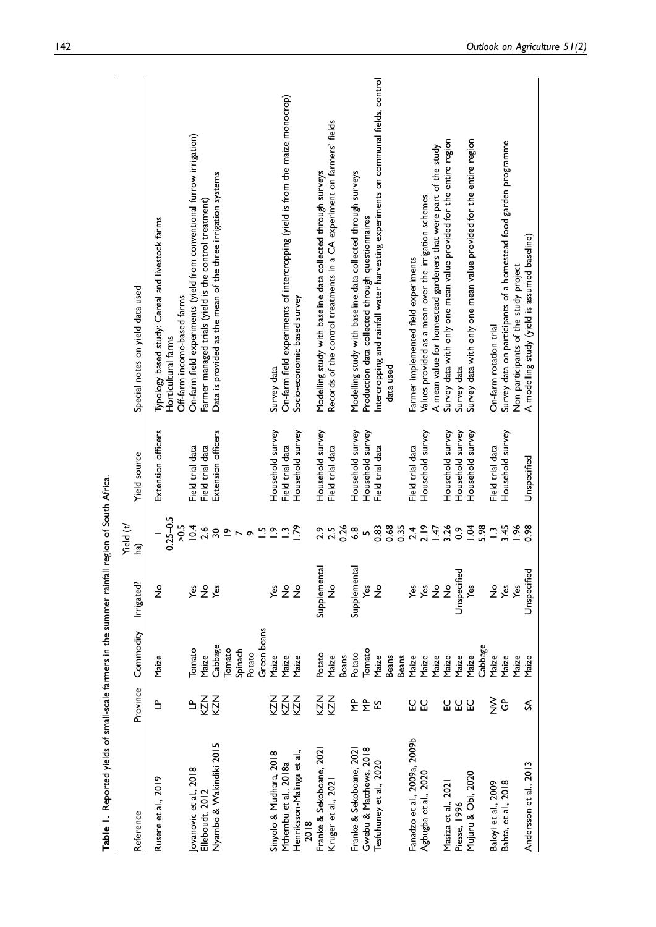| <b>All Control Control Control of the Control Control Control Control Control Control Control Control Control Control Control Control Control Control Control Control Control Control Control Control Control Control Control Co</b> |                     |                                                       |                                   |                                                                                           |                                      |                                                                                                                                 |
|--------------------------------------------------------------------------------------------------------------------------------------------------------------------------------------------------------------------------------------|---------------------|-------------------------------------------------------|-----------------------------------|-------------------------------------------------------------------------------------------|--------------------------------------|---------------------------------------------------------------------------------------------------------------------------------|
| Reference                                                                                                                                                                                                                            | Province            | Commodity                                             | Irrigated?                        | Yield (t/<br><u>(a</u>                                                                    | Yield source                         | Special notes on yield data used                                                                                                |
| Rusere et al., 2019                                                                                                                                                                                                                  | ≞                   | Maize                                                 | $\frac{1}{2}$                     | $0.25 - 0.5$<br>>0.5                                                                      | Extension officers                   | Typology based study: Cereal and livestock farms<br>Off-farm income-based farms<br>Horticultural farms                          |
| ovanovic et al., 2018<br>Elleboudt, 2012                                                                                                                                                                                             | 교증의                 | <b>Tomato</b><br>Maize                                | $\stackrel{\mathtt{o}}{z}$<br>уeз | 10.4<br>2.6                                                                               | Field trial data<br>Field trial data | On-farm field experiments (yield from conventional furrow irrigation)<br>Farmer managed trials (yield is the control treatment) |
| Nyambo & Wakindiki 2015                                                                                                                                                                                                              |                     | Green beans<br>Cabbage<br>Tomato<br>Spinach<br>Potato | уes                               | $\overline{a}$<br>$\tilde{=}$<br>$\overline{\mathbf{30}}$<br>$\triangleright$<br>$\sigma$ | Extension officers                   | Data is provided as the mean of the three irrigation systems                                                                    |
| Sinyolo & Mudhara, 2018                                                                                                                                                                                                              | KZ<br>Z             | Maize                                                 | yes                               | $\tilde{c}$                                                                               | Household survey                     | Survey data                                                                                                                     |
| Mthembu et al., 2018a                                                                                                                                                                                                                | <b>KZN</b>          | Maize                                                 | $\stackrel{\mathtt{o}}{z}$        | $\ddot{ }$                                                                                | Field trial data                     | On-farm field experiments of intercropping (yield is from the maize monocrop)                                                   |
| Henriksson-Malinga et al.,<br>2018                                                                                                                                                                                                   | KZN                 | Maize                                                 | $\frac{1}{2}$                     | .79                                                                                       | Household survey                     | Socio-economic based survey                                                                                                     |
| Franke & Sekoboane, 202                                                                                                                                                                                                              | KZN                 | Potato                                                | Supplemental                      | 2.9                                                                                       | Household survey                     | Modelling study with baseline data collected through surveys                                                                    |
| Kruger et al., 2021                                                                                                                                                                                                                  | KZN                 | <b>Beans</b><br>Maize                                 | $\frac{1}{2}$                     | 0.26<br>2.5                                                                               | Field trial data                     | Records of the control treatments in a CA experiment on farmers' fields                                                         |
| Franke & Sekoboane, 202                                                                                                                                                                                                              | 욷                   | Potato                                                | Supplemental                      | $\frac{8}{6}$                                                                             | Household survey                     |                                                                                                                                 |
| Gwebu & Matthews, 2018                                                                                                                                                                                                               | 욷                   | Tomato                                                | Š                                 | $\overline{a}$                                                                            | Household survey                     | Modelling study with baseline data collected through surveys<br>Production data collected through questionnaires                |
| Tesfuhuney et al., 2020                                                                                                                                                                                                              | ပြ                  | Maize                                                 | $\frac{1}{2}$                     | 0.83                                                                                      | Field trial data                     | Intercropping and rainfall water harvesting experiments on communal fields, control                                             |
|                                                                                                                                                                                                                                      |                     | <b>Beans</b><br><b>Beans</b>                          |                                   | 0.68<br>0.35                                                                              |                                      | data used                                                                                                                       |
| Fanadzo et al., 2009a, 2009b                                                                                                                                                                                                         |                     | Maize                                                 | Yes                               |                                                                                           | Field trial data                     | Farmer implemented field experiments                                                                                            |
| Agbugba et al., 2020                                                                                                                                                                                                                 | ួប                  | Maize<br>Maize                                        | Yes<br>$\stackrel{\mathtt{o}}{z}$ | 2.19                                                                                      | Household survey                     | A mean value for homestead gardeners that were part of the study<br>Values provided as a mean over the irrigation schemes       |
| Masiza et al., 2021                                                                                                                                                                                                                  |                     | Maize                                                 | $\frac{9}{2}$                     | $1.47$<br>3.26                                                                            | Household survey                     | Survey data with only one mean value provided for the entire region                                                             |
| Piesse, 1996                                                                                                                                                                                                                         | <b>U U U</b>        | Maize                                                 | Unspecified                       | $\ddot{\circ}$                                                                            | Household survey                     | Survey data                                                                                                                     |
| Mujuru & Obi, 2020                                                                                                                                                                                                                   |                     | Maize                                                 | Š                                 | 1.04                                                                                      | Household survey                     | Survey data with only one mean value provided for the entire region                                                             |
|                                                                                                                                                                                                                                      |                     | Cabbage                                               |                                   | 5.98                                                                                      |                                      |                                                                                                                                 |
| Baloyi et al., 2009                                                                                                                                                                                                                  | $\check{\check{z}}$ | Maize                                                 | $\frac{1}{2}$                     | $\ddot{ }$ .                                                                              | Field trial data                     | On-farm rotation trial                                                                                                          |
| Bahta, et al., 2018                                                                                                                                                                                                                  | ී                   | Maize                                                 | Yes                               | 3.45                                                                                      | Household survey                     | Survey data on participants of a homestead food garden programme                                                                |
| Andersson et al., 2013                                                                                                                                                                                                               | ⋦                   | Maize<br>Maize                                        | Unspecified<br>yes                | 0.98<br>$-96$                                                                             | Unspecified                          | A modelling study (yield is assumed baseline)<br>Non participants of the study project                                          |
|                                                                                                                                                                                                                                      |                     |                                                       |                                   |                                                                                           |                                      |                                                                                                                                 |

rainfall region of South Africa Table 1. Reported yields of small-scale farmers in the summer rainfall region of South Africa. å - 1 ars in the **Table 1.** Reported vields of small-scale far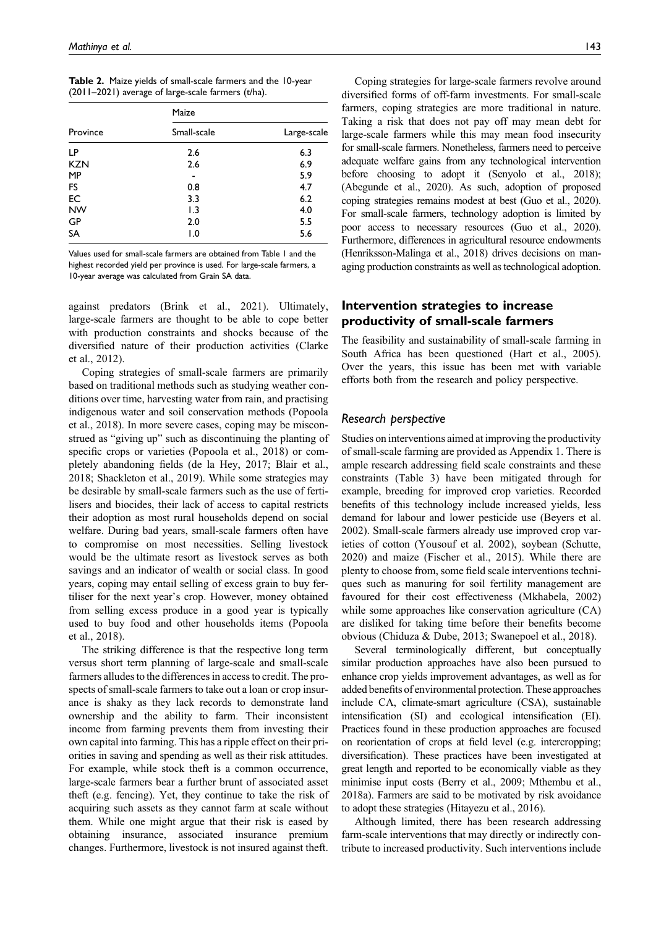|  | Table 2. Maize yields of small-scale farmers and the 10-year |  |  |
|--|--------------------------------------------------------------|--|--|
|  | (2011-2021) average of large-scale farmers (t/ha).           |  |  |

|            | Maize            |             |
|------------|------------------|-------------|
| Province   | Small-scale      | Large-scale |
| LP         | 2.6              | 6.3         |
| <b>KZN</b> | 2.6              | 6.9         |
| <b>MP</b>  |                  | 5.9         |
| FS         | 0.8              | 4.7         |
| EC         | 3.3              | 6.2         |
| <b>NW</b>  | 1.3              | 4.0         |
| GP         | 2.0              | 5.5         |
| <b>SA</b>  | $\overline{1.0}$ | 5.6         |

Values used for small-scale farmers are obtained from Table 1 and the highest recorded yield per province is used. For large-scale farmers, a 10-year average was calculated from Grain SA data.

against predators (Brink et al., 2021). Ultimately, large-scale farmers are thought to be able to cope better with production constraints and shocks because of the diversified nature of their production activities (Clarke et al., 2012).

Coping strategies of small-scale farmers are primarily based on traditional methods such as studying weather conditions over time, harvesting water from rain, and practising indigenous water and soil conservation methods (Popoola et al., 2018). In more severe cases, coping may be misconstrued as "giving up" such as discontinuing the planting of specific crops or varieties (Popoola et al., 2018) or completely abandoning fields (de la Hey, 2017; Blair et al., 2018; Shackleton et al., 2019). While some strategies may be desirable by small-scale farmers such as the use of fertilisers and biocides, their lack of access to capital restricts their adoption as most rural households depend on social welfare. During bad years, small-scale farmers often have to compromise on most necessities. Selling livestock would be the ultimate resort as livestock serves as both savings and an indicator of wealth or social class. In good years, coping may entail selling of excess grain to buy fertiliser for the next year's crop. However, money obtained from selling excess produce in a good year is typically used to buy food and other households items (Popoola et al., 2018).

The striking difference is that the respective long term versus short term planning of large-scale and small-scale farmers alludes to the differences in access to credit. The prospects of small-scale farmers to take out a loan or crop insurance is shaky as they lack records to demonstrate land ownership and the ability to farm. Their inconsistent income from farming prevents them from investing their own capital into farming. This has a ripple effect on their priorities in saving and spending as well as their risk attitudes. For example, while stock theft is a common occurrence, large-scale farmers bear a further brunt of associated asset theft (e.g. fencing). Yet, they continue to take the risk of acquiring such assets as they cannot farm at scale without them. While one might argue that their risk is eased by obtaining insurance, associated insurance premium changes. Furthermore, livestock is not insured against theft.

Coping strategies for large-scale farmers revolve around diversified forms of off-farm investments. For small-scale farmers, coping strategies are more traditional in nature. Taking a risk that does not pay off may mean debt for large-scale farmers while this may mean food insecurity for small-scale farmers. Nonetheless, farmers need to perceive adequate welfare gains from any technological intervention before choosing to adopt it (Senyolo et al., 2018); (Abegunde et al., 2020). As such, adoption of proposed coping strategies remains modest at best (Guo et al., 2020). For small-scale farmers, technology adoption is limited by poor access to necessary resources (Guo et al., 2020). Furthermore, differences in agricultural resource endowments (Henriksson-Malinga et al., 2018) drives decisions on managing production constraints as well as technological adoption.

# Intervention strategies to increase productivity of small-scale farmers

The feasibility and sustainability of small-scale farming in South Africa has been questioned (Hart et al., 2005). Over the years, this issue has been met with variable efforts both from the research and policy perspective.

## Research perspective

Studies on interventions aimed at improving the productivity of small-scale farming are provided as Appendix 1. There is ample research addressing field scale constraints and these constraints (Table 3) have been mitigated through for example, breeding for improved crop varieties. Recorded benefits of this technology include increased yields, less demand for labour and lower pesticide use (Beyers et al. 2002). Small-scale farmers already use improved crop varieties of cotton (Yousouf et al. 2002), soybean (Schutte, 2020) and maize (Fischer et al., 2015). While there are plenty to choose from, some field scale interventions techniques such as manuring for soil fertility management are favoured for their cost effectiveness (Mkhabela, 2002) while some approaches like conservation agriculture  $(CA)$ are disliked for taking time before their benefits become obvious (Chiduza & Dube, 2013; Swanepoel et al., 2018).

Several terminologically different, but conceptually similar production approaches have also been pursued to enhance crop yields improvement advantages, as well as for added benefits of environmental protection. These approaches include CA, climate-smart agriculture (CSA), sustainable intensification (SI) and ecological intensification (EI). Practices found in these production approaches are focused on reorientation of crops at field level (e.g. intercropping; diversification). These practices have been investigated at great length and reported to be economically viable as they minimise input costs (Berry et al., 2009; Mthembu et al., 2018a). Farmers are said to be motivated by risk avoidance to adopt these strategies (Hitayezu et al., 2016).

Although limited, there has been research addressing farm-scale interventions that may directly or indirectly contribute to increased productivity. Such interventions include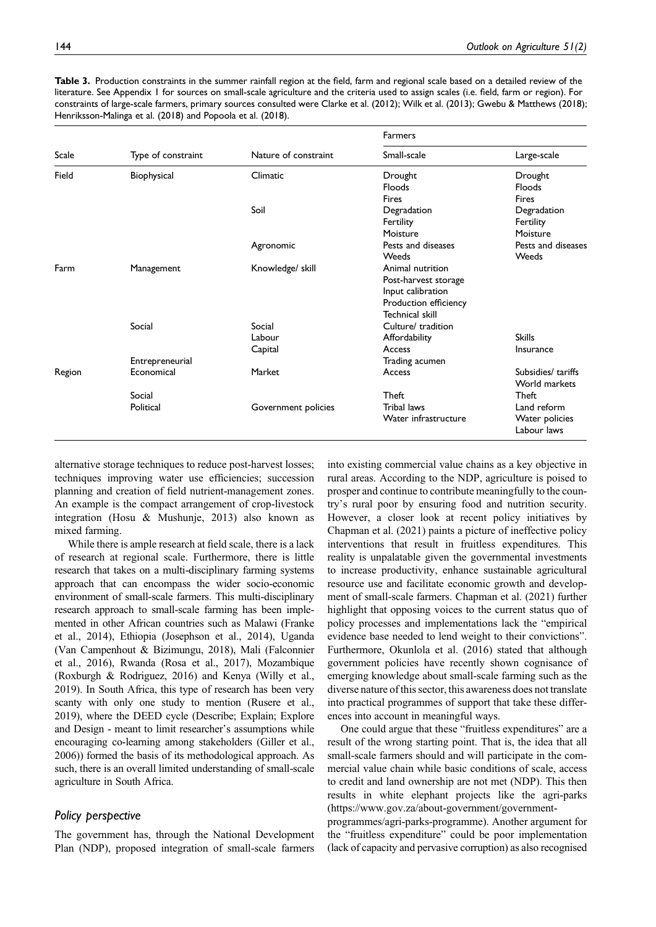Table 3. Production constraints in the summer rainfall region at the field, farm and regional scale based on a detailed review of the literature. See Appendix 1 for sources on small-scale agriculture and the criteria used to assign scales (i.e. field, farm or region). For constraints of large-scale farmers, primary sources consulted were Clarke et al. (2012); Wilk et al. (2013); Gwebu & Matthews (2018); Henriksson-Malinga et al. (2018) and Popoola et al. (2018).

|        |                    |                      | Farmers               |                               |
|--------|--------------------|----------------------|-----------------------|-------------------------------|
| Scale  | Type of constraint | Nature of constraint | Small-scale           | Large-scale                   |
| Field  | Biophysical        | Climatic             | Drought               | Drought                       |
|        |                    |                      | Floods                | Floods                        |
|        |                    |                      | <b>Fires</b>          | <b>Fires</b>                  |
|        |                    | Soil                 | Degradation           | Degradation                   |
|        |                    |                      | Fertility             | Fertility                     |
|        |                    |                      | Moisture              | Moisture                      |
|        |                    | Agronomic            | Pests and diseases    | Pests and diseases            |
|        |                    |                      | Weeds                 | Weeds                         |
| Farm   | Management         | Knowledge/ skill     | Animal nutrition      |                               |
|        |                    |                      | Post-harvest storage  |                               |
|        |                    |                      | Input calibration     |                               |
|        |                    |                      | Production efficiency |                               |
|        |                    |                      | Technical skill       |                               |
|        | Social             | Social               | Culture/ tradition    |                               |
|        |                    | Labour               | Affordability         | <b>Skills</b>                 |
|        |                    | Capital              | Access                | Insurance                     |
|        | Entrepreneurial    |                      | Trading acumen        |                               |
| Region | Economical         | Market               | Access                | Subsidies/ tariffs            |
|        |                    |                      | World markets         |                               |
|        | Social             |                      | Theft                 | Theft                         |
|        | Political          | Government policies  | Tribal laws           | Land reform                   |
|        |                    |                      | Water infrastructure  | Water policies<br>Labour laws |

alternative storage techniques to reduce post-harvest losses; techniques improving water use efficiencies; succession planning and creation of field nutrient-management zones. An example is the compact arrangement of crop-livestock integration (Hosu & Mushunje, 2013) also known as mixed farming.

While there is ample research at field scale, there is a lack of research at regional scale. Furthermore, there is little research that takes on a multi-disciplinary farming systems approach that can encompass the wider socio-economic environment of small-scale farmers. This multi-disciplinary research approach to small-scale farming has been implemented in other African countries such as Malawi (Franke et al., 2014), Ethiopia (Josephson et al., 2014), Uganda (Van Campenhout & Bizimungu, 2018), Mali (Falconnier et al., 2016), Rwanda (Rosa et al., 2017), Mozambique (Roxburgh & Rodriguez, 2016) and Kenya (Willy et al., 2019). In South Africa, this type of research has been very scanty with only one study to mention (Rusere et al., 2019), where the DEED cycle (Describe; Explain; Explore and Design - meant to limit researcher's assumptions while encouraging co-learning among stakeholders (Giller et al., 2006)) formed the basis of its methodological approach. As such, there is an overall limited understanding of small-scale agriculture in South Africa.

## Policy perspective

The government has, through the National Development Plan (NDP), proposed integration of small-scale farmers into existing commercial value chains as a key objective in rural areas. According to the NDP, agriculture is poised to prosper and continue to contribute meaningfully to the country's rural poor by ensuring food and nutrition security. However, a closer look at recent policy initiatives by Chapman et al. (2021) paints a picture of ineffective policy interventions that result in fruitless expenditures. This reality is unpalatable given the governmental investments to increase productivity, enhance sustainable agricultural resource use and facilitate economic growth and development of small-scale farmers. Chapman et al. (2021) further highlight that opposing voices to the current status quo of policy processes and implementations lack the "empirical evidence base needed to lend weight to their convictions". Furthermore, Okunlola et al. (2016) stated that although government policies have recently shown cognisance of emerging knowledge about small-scale farming such as the diverse nature of this sector, this awareness does not translate into practical programmes of support that take these differences into account in meaningful ways.

One could argue that these "fruitless expenditures" are a result of the wrong starting point. That is, the idea that all small-scale farmers should and will participate in the commercial value chain while basic conditions of scale, access to credit and land ownership are not met (NDP). This then results in white elephant projects like the agri-parks [\(https://www.gov.za/about-government/government-](https://www.gov.za/about-government/government-programmes/agri-parks-programme)

[programmes/agri-parks-programme](https://www.gov.za/about-government/government-programmes/agri-parks-programme)). Another argument for the "fruitless expenditure" could be poor implementation (lack of capacity and pervasive corruption) as also recognised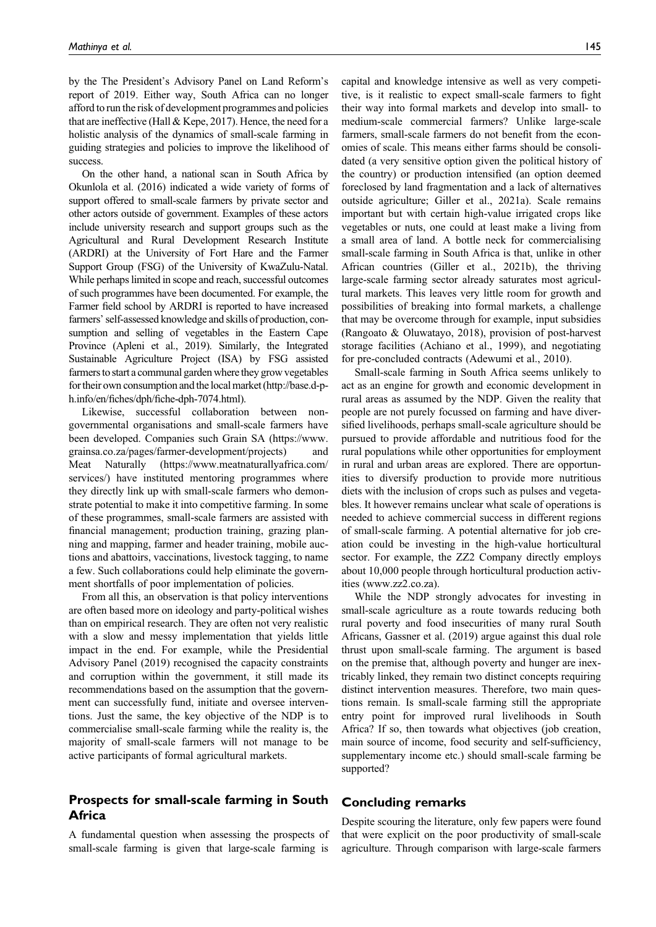by the The President's Advisory Panel on Land Reform's report of 2019. Either way, South Africa can no longer afford to run the risk of development programmes and policies that are ineffective (Hall & Kepe, 2017). Hence, the need for a holistic analysis of the dynamics of small-scale farming in guiding strategies and policies to improve the likelihood of success.

On the other hand, a national scan in South Africa by Okunlola et al. (2016) indicated a wide variety of forms of support offered to small-scale farmers by private sector and other actors outside of government. Examples of these actors include university research and support groups such as the Agricultural and Rural Development Research Institute (ARDRI) at the University of Fort Hare and the Farmer Support Group (FSG) of the University of KwaZulu-Natal. While perhaps limited in scope and reach, successful outcomes of such programmes have been documented. For example, the Farmer field school by ARDRI is reported to have increased farmers'self-assessed knowledge and skills of production, consumption and selling of vegetables in the Eastern Cape Province (Apleni et al., 2019). Similarly, the Integrated Sustainable Agriculture Project (ISA) by FSG assisted farmers to start a communal garden where they grow vegetables for their own consumption and the local market [\(http://base.d-p](http://base.d-p-h.info/en/fiches/dph/fiche-dph-7074.html)h.info/en/fiches/dph/fi[che-dph-7074.html](http://base.d-p-h.info/en/fiches/dph/fiche-dph-7074.html)).

Likewise, successful collaboration between nongovernmental organisations and small-scale farmers have been developed. Companies such Grain SA ([https://www.](https://www.grainsa.co.za/pages/farmer-development/projects) [grainsa.co.za/pages/farmer-development/projects\)](https://www.grainsa.co.za/pages/farmer-development/projects) and Meat Naturally ([https://www.meatnaturallyafrica.com/](https://www.meatnaturallyafrica.com/services/) [services/\)](https://www.meatnaturallyafrica.com/services/) have instituted mentoring programmes where they directly link up with small-scale farmers who demonstrate potential to make it into competitive farming. In some of these programmes, small-scale farmers are assisted with financial management; production training, grazing planning and mapping, farmer and header training, mobile auctions and abattoirs, vaccinations, livestock tagging, to name a few. Such collaborations could help eliminate the government shortfalls of poor implementation of policies.

From all this, an observation is that policy interventions are often based more on ideology and party-political wishes than on empirical research. They are often not very realistic with a slow and messy implementation that yields little impact in the end. For example, while the Presidential Advisory Panel (2019) recognised the capacity constraints and corruption within the government, it still made its recommendations based on the assumption that the government can successfully fund, initiate and oversee interventions. Just the same, the key objective of the NDP is to commercialise small-scale farming while the reality is, the majority of small-scale farmers will not manage to be active participants of formal agricultural markets.

# Prospects for small-scale farming in South **Africa**

A fundamental question when assessing the prospects of small-scale farming is given that large-scale farming is

capital and knowledge intensive as well as very competitive, is it realistic to expect small-scale farmers to fight their way into formal markets and develop into small- to medium-scale commercial farmers? Unlike large-scale farmers, small-scale farmers do not benefit from the economies of scale. This means either farms should be consolidated (a very sensitive option given the political history of the country) or production intensified (an option deemed foreclosed by land fragmentation and a lack of alternatives outside agriculture; Giller et al., 2021a). Scale remains important but with certain high-value irrigated crops like vegetables or nuts, one could at least make a living from a small area of land. A bottle neck for commercialising small-scale farming in South Africa is that, unlike in other African countries (Giller et al., 2021b), the thriving large-scale farming sector already saturates most agricultural markets. This leaves very little room for growth and possibilities of breaking into formal markets, a challenge that may be overcome through for example, input subsidies (Rangoato & Oluwatayo, 2018), provision of post-harvest storage facilities (Achiano et al., 1999), and negotiating for pre-concluded contracts (Adewumi et al., 2010).

Small-scale farming in South Africa seems unlikely to act as an engine for growth and economic development in rural areas as assumed by the NDP. Given the reality that people are not purely focussed on farming and have diversified livelihoods, perhaps small-scale agriculture should be pursued to provide affordable and nutritious food for the rural populations while other opportunities for employment in rural and urban areas are explored. There are opportunities to diversify production to provide more nutritious diets with the inclusion of crops such as pulses and vegetables. It however remains unclear what scale of operations is needed to achieve commercial success in different regions of small-scale farming. A potential alternative for job creation could be investing in the high-value horticultural sector. For example, the ZZ2 Company directly employs about 10,000 people through horticultural production activities ([www.zz2.co.za\)](www.zz2.co.za).

While the NDP strongly advocates for investing in small-scale agriculture as a route towards reducing both rural poverty and food insecurities of many rural South Africans, Gassner et al. (2019) argue against this dual role thrust upon small-scale farming. The argument is based on the premise that, although poverty and hunger are inextricably linked, they remain two distinct concepts requiring distinct intervention measures. Therefore, two main questions remain. Is small-scale farming still the appropriate entry point for improved rural livelihoods in South Africa? If so, then towards what objectives (job creation, main source of income, food security and self-sufficiency, supplementary income etc.) should small-scale farming be supported?

## Concluding remarks

Despite scouring the literature, only few papers were found that were explicit on the poor productivity of small-scale agriculture. Through comparison with large-scale farmers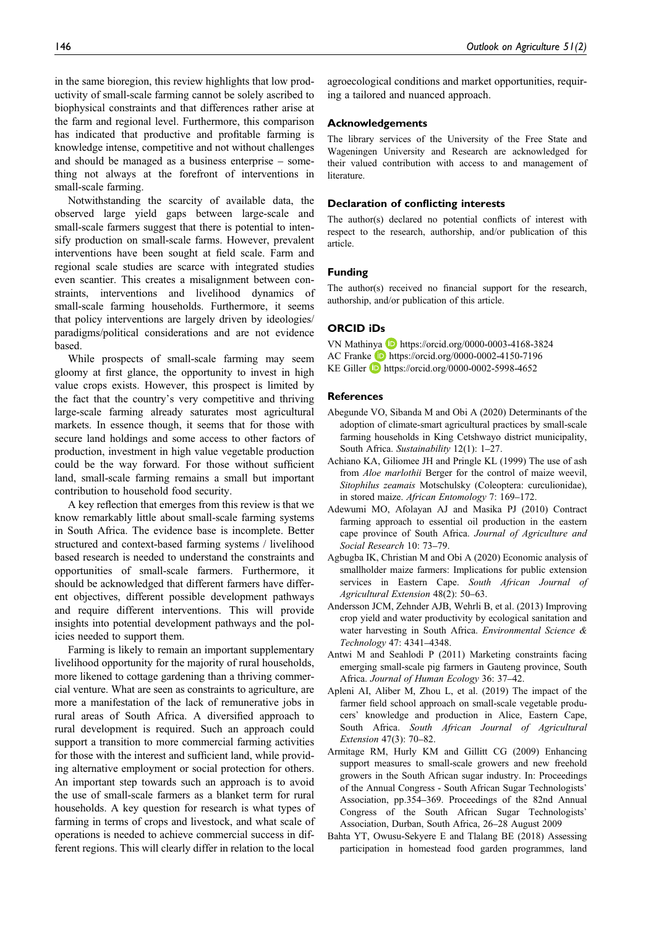in the same bioregion, this review highlights that low productivity of small-scale farming cannot be solely ascribed to biophysical constraints and that differences rather arise at the farm and regional level. Furthermore, this comparison has indicated that productive and profitable farming is knowledge intense, competitive and not without challenges and should be managed as a business enterprise – something not always at the forefront of interventions in small-scale farming.

Notwithstanding the scarcity of available data, the observed large yield gaps between large-scale and small-scale farmers suggest that there is potential to intensify production on small-scale farms. However, prevalent interventions have been sought at field scale. Farm and regional scale studies are scarce with integrated studies even scantier. This creates a misalignment between constraints, interventions and livelihood dynamics of small-scale farming households. Furthermore, it seems that policy interventions are largely driven by ideologies/ paradigms/political considerations and are not evidence based.

While prospects of small-scale farming may seem gloomy at first glance, the opportunity to invest in high value crops exists. However, this prospect is limited by the fact that the country's very competitive and thriving large-scale farming already saturates most agricultural markets. In essence though, it seems that for those with secure land holdings and some access to other factors of production, investment in high value vegetable production could be the way forward. For those without sufficient land, small-scale farming remains a small but important contribution to household food security.

A key reflection that emerges from this review is that we know remarkably little about small-scale farming systems in South Africa. The evidence base is incomplete. Better structured and context-based farming systems / livelihood based research is needed to understand the constraints and opportunities of small-scale farmers. Furthermore, it should be acknowledged that different farmers have different objectives, different possible development pathways and require different interventions. This will provide insights into potential development pathways and the policies needed to support them.

Farming is likely to remain an important supplementary livelihood opportunity for the majority of rural households, more likened to cottage gardening than a thriving commercial venture. What are seen as constraints to agriculture, are more a manifestation of the lack of remunerative jobs in rural areas of South Africa. A diversified approach to rural development is required. Such an approach could support a transition to more commercial farming activities for those with the interest and sufficient land, while providing alternative employment or social protection for others. An important step towards such an approach is to avoid the use of small-scale farmers as a blanket term for rural households. A key question for research is what types of farming in terms of crops and livestock, and what scale of operations is needed to achieve commercial success in different regions. This will clearly differ in relation to the local

agroecological conditions and market opportunities, requiring a tailored and nuanced approach.

## Acknowledgements

The library services of the University of the Free State and Wageningen University and Research are acknowledged for their valued contribution with access to and management of literature.

### Declaration of conflicting interests

The author(s) declared no potential conflicts of interest with respect to the research, authorship, and/or publication of this article.

### Funding

The author(s) received no financial support for the research, authorship, and/or publication of this article.

## ORCID iDs

VN Mathinya D <https://orcid.org/0000-0003-4168-3824> AC Franke **<https://orcid.org/0000-0002-4150-7196>** KE Giller **b** <https://orcid.org/0000-0002-5998-4652>

## **References**

- Abegunde VO, Sibanda M and Obi A (2020) Determinants of the adoption of climate-smart agricultural practices by small-scale farming households in King Cetshwayo district municipality, South Africa. Sustainability 12(1): 1–27.
- Achiano KA, Giliomee JH and Pringle KL (1999) The use of ash from Aloe marlothii Berger for the control of maize weevil, Sitophilus zeamais Motschulsky (Coleoptera: curculionidae), in stored maize. African Entomology 7: 169–172.
- Adewumi MO, Afolayan AJ and Masika PJ (2010) Contract farming approach to essential oil production in the eastern cape province of South Africa. Journal of Agriculture and Social Research 10: 73–79.
- Agbugba IK, Christian M and Obi A (2020) Economic analysis of smallholder maize farmers: Implications for public extension services in Eastern Cape. South African Journal of Agricultural Extension 48(2): 50–63.
- Andersson JCM, Zehnder AJB, Wehrli B, et al. (2013) Improving crop yield and water productivity by ecological sanitation and water harvesting in South Africa. Environmental Science & Technology 47: 4341–4348.
- Antwi M and Seahlodi P (2011) Marketing constraints facing emerging small-scale pig farmers in Gauteng province, South Africa. Journal of Human Ecology 36: 37–42.
- Apleni AI, Aliber M, Zhou L, et al. (2019) The impact of the farmer field school approach on small-scale vegetable producers' knowledge and production in Alice, Eastern Cape, South Africa. South African Journal of Agricultural Extension 47(3): 70–82.
- Armitage RM, Hurly KM and Gillitt CG (2009) Enhancing support measures to small-scale growers and new freehold growers in the South African sugar industry. In: Proceedings of the Annual Congress - South African Sugar Technologists' Association, pp.354–369. Proceedings of the 82nd Annual Congress of the South African Sugar Technologists' Association, Durban, South Africa, 26–28 August 2009
- Bahta YT, Owusu-Sekyere E and Tlalang BE (2018) Assessing participation in homestead food garden programmes, land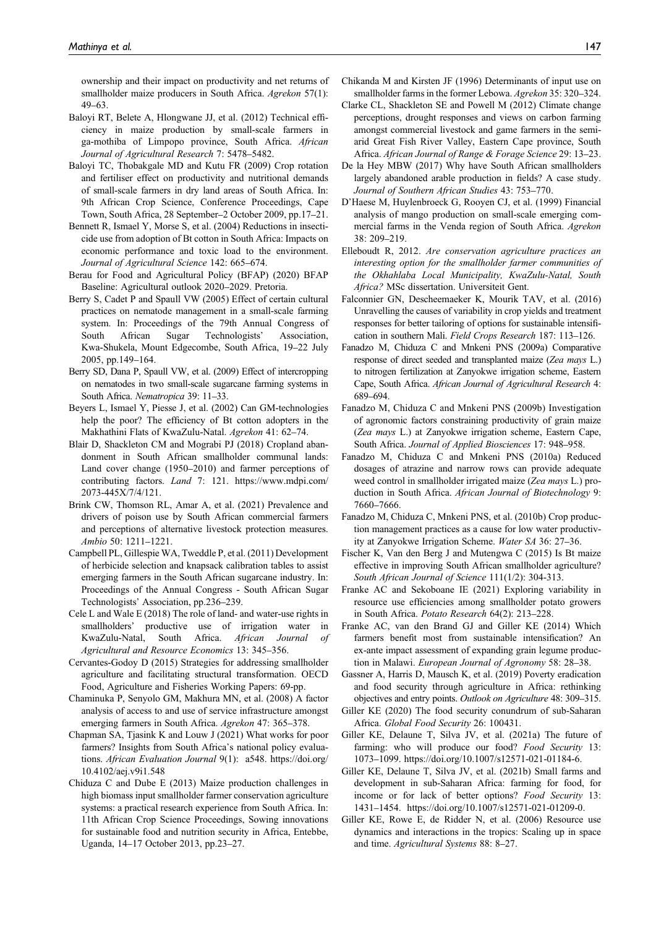ownership and their impact on productivity and net returns of smallholder maize producers in South Africa. Agrekon 57(1): 49–63.

- Baloyi RT, Belete A, Hlongwane JJ, et al. (2012) Technical efficiency in maize production by small-scale farmers in ga-mothiba of Limpopo province, South Africa. African Journal of Agricultural Research 7: 5478–5482.
- Baloyi TC, Thobakgale MD and Kutu FR (2009) Crop rotation and fertiliser effect on productivity and nutritional demands of small-scale farmers in dry land areas of South Africa. In: 9th African Crop Science, Conference Proceedings, Cape Town, South Africa, 28 September–2 October 2009, pp.17–21.
- Bennett R, Ismael Y, Morse S, et al. (2004) Reductions in insecticide use from adoption of Bt cotton in South Africa: Impacts on economic performance and toxic load to the environment. Journal of Agricultural Science 142: 665–674.
- Berau for Food and Agricultural Policy (BFAP) (2020) BFAP Baseline: Agricultural outlook 2020–2029. Pretoria.
- Berry S, Cadet P and Spaull VW (2005) Effect of certain cultural practices on nematode management in a small-scale farming system. In: Proceedings of the 79th Annual Congress of South African Sugar Technologists' Association, Kwa-Shukela, Mount Edgecombe, South Africa, 19–22 July 2005, pp.149–164.
- Berry SD, Dana P, Spaull VW, et al. (2009) Effect of intercropping on nematodes in two small-scale sugarcane farming systems in South Africa. Nematropica 39: 11–33.
- Beyers L, Ismael Y, Piesse J, et al. (2002) Can GM-technologies help the poor? The efficiency of Bt cotton adopters in the Makhathini Flats of KwaZulu-Natal. Agrekon 41: 62–74.
- Blair D, Shackleton CM and Mograbi PJ (2018) Cropland abandonment in South African smallholder communal lands: Land cover change (1950–2010) and farmer perceptions of contributing factors. Land 7: 121. [https://www.mdpi.com/](https://www.mdpi.com/2073-445X/7/4/121) [2073-445X/7/4/121.](https://www.mdpi.com/2073-445X/7/4/121)
- Brink CW, Thomson RL, Amar A, et al. (2021) Prevalence and drivers of poison use by South African commercial farmers and perceptions of alternative livestock protection measures. Ambio 50: 1211–1221.
- Campbell PL, Gillespie WA, Tweddle P, et al. (2011) Development of herbicide selection and knapsack calibration tables to assist emerging farmers in the South African sugarcane industry. In: Proceedings of the Annual Congress - South African Sugar Technologists' Association, pp.236–239.
- Cele L and Wale E (2018) The role of land- and water-use rights in smallholders' productive use of irrigation water in KwaZulu-Natal, South Africa. African Journal of Agricultural and Resource Economics 13: 345–356.
- Cervantes-Godoy D (2015) Strategies for addressing smallholder agriculture and facilitating structural transformation. OECD Food, Agriculture and Fisheries Working Papers: 69-pp.
- Chaminuka P, Senyolo GM, Makhura MN, et al. (2008) A factor analysis of access to and use of service infrastructure amongst emerging farmers in South Africa. Agrekon 47: 365–378.
- Chapman SA, Tjasink K and Louw J (2021) What works for poor farmers? Insights from South Africa's national policy evaluations. African Evaluation Journal 9(1): a548. [https://doi.org/](https://doi.org/10.4102/aej.v9i1.548) [10.4102/aej.v9i1.548](https://doi.org/10.4102/aej.v9i1.548)
- Chiduza C and Dube E (2013) Maize production challenges in high biomass input smallholder farmer conservation agriculture systems: a practical research experience from South Africa. In: 11th African Crop Science Proceedings, Sowing innovations for sustainable food and nutrition security in Africa, Entebbe, Uganda, 14–17 October 2013, pp.23–27.
- Chikanda M and Kirsten JF (1996) Determinants of input use on smallholder farms in the former Lebowa. Agrekon 35: 320–324.
- Clarke CL, Shackleton SE and Powell M (2012) Climate change perceptions, drought responses and views on carbon farming amongst commercial livestock and game farmers in the semiarid Great Fish River Valley, Eastern Cape province, South Africa. African Journal of Range & Forage Science 29: 13–23.
- De la Hey MBW (2017) Why have South African smallholders largely abandoned arable production in fields? A case study. Journal of Southern African Studies 43: 753–770.
- D'Haese M, Huylenbroeck G, Rooyen CJ, et al. (1999) Financial analysis of mango production on small-scale emerging commercial farms in the Venda region of South Africa. Agrekon 38: 209–219.
- Elleboudt R, 2012. Are conservation agriculture practices an interesting option for the smallholder farmer communities of the Okhahlaba Local Municipality, KwaZulu-Natal, South Africa? MSc dissertation. Universiteit Gent.
- Falconnier GN, Descheemaeker K, Mourik TAV, et al. (2016) Unravelling the causes of variability in crop yields and treatment responses for better tailoring of options for sustainable intensification in southern Mali. Field Crops Research 187: 113–126.
- Fanadzo M, Chiduza C and Mnkeni PNS (2009a) Comparative response of direct seeded and transplanted maize (Zea mays L.) to nitrogen fertilization at Zanyokwe irrigation scheme, Eastern Cape, South Africa. African Journal of Agricultural Research 4: 689–694.
- Fanadzo M, Chiduza C and Mnkeni PNS (2009b) Investigation of agronomic factors constraining productivity of grain maize (Zea mays L.) at Zanyokwe irrigation scheme, Eastern Cape, South Africa. Journal of Applied Biosciences 17: 948–958.
- Fanadzo M, Chiduza C and Mnkeni PNS (2010a) Reduced dosages of atrazine and narrow rows can provide adequate weed control in smallholder irrigated maize (Zea mays L.) production in South Africa. African Journal of Biotechnology 9: 7660–7666.
- Fanadzo M, Chiduza C, Mnkeni PNS, et al. (2010b) Crop production management practices as a cause for low water productivity at Zanyokwe Irrigation Scheme. Water SA 36: 27–36.
- Fischer K, Van den Berg J and Mutengwa C (2015) Is Bt maize effective in improving South African smallholder agriculture? South African Journal of Science 111(1/2): 304-313.
- Franke AC and Sekoboane IE (2021) Exploring variability in resource use efficiencies among smallholder potato growers in South Africa. Potato Research 64(2): 213–228.
- Franke AC, van den Brand GJ and Giller KE (2014) Which farmers benefit most from sustainable intensification? An ex-ante impact assessment of expanding grain legume production in Malawi. European Journal of Agronomy 58: 28–38.
- Gassner A, Harris D, Mausch K, et al. (2019) Poverty eradication and food security through agriculture in Africa: rethinking objectives and entry points. Outlook on Agriculture 48: 309–315.
- Giller KE (2020) The food security conundrum of sub-Saharan Africa. Global Food Security 26: 100431.
- Giller KE, Delaune T, Silva JV, et al. (2021a) The future of farming: who will produce our food? Food Security 13: 1073–1099.<https://doi.org/10.1007/s12571-021-01184-6>.
- Giller KE, Delaune T, Silva JV, et al. (2021b) Small farms and development in sub-Saharan Africa: farming for food, for income or for lack of better options? Food Security 13: 1431–1454. [https://doi.org/10.1007/s12571-021-01209-0.](https://doi.org/10.1007/s12571-021-01209-0)
- Giller KE, Rowe E, de Ridder N, et al. (2006) Resource use dynamics and interactions in the tropics: Scaling up in space and time. Agricultural Systems 88: 8–27.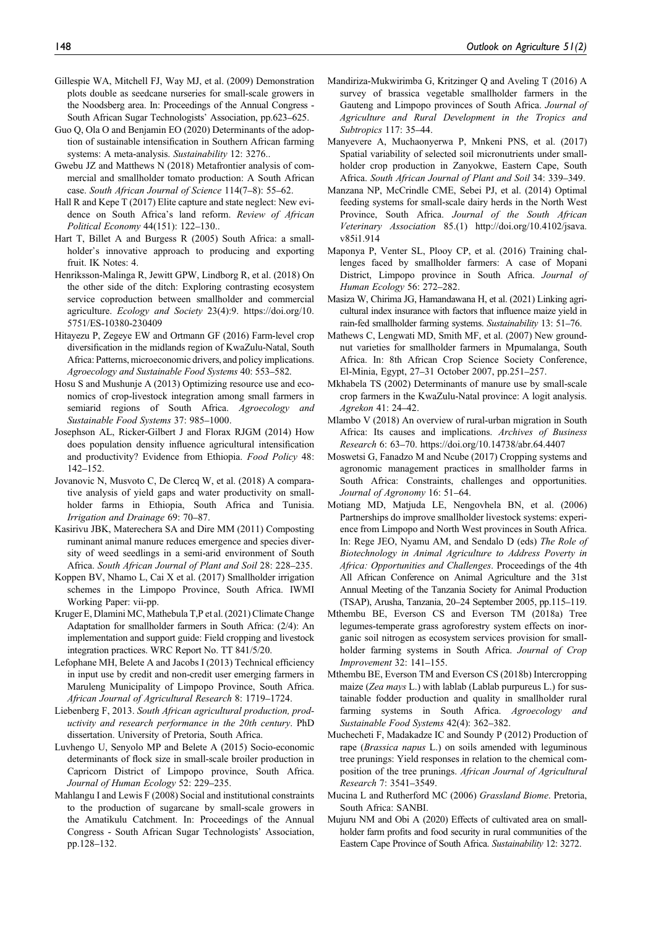- Gillespie WA, Mitchell FJ, Way MJ, et al. (2009) Demonstration plots double as seedcane nurseries for small-scale growers in the Noodsberg area. In: Proceedings of the Annual Congress - South African Sugar Technologists' Association, pp.623–625.
- Guo Q, Ola O and Benjamin EO (2020) Determinants of the adoption of sustainable intensification in Southern African farming systems: A meta-analysis. Sustainability 12: 3276..
- Gwebu JZ and Matthews N (2018) Metafrontier analysis of commercial and smallholder tomato production: A South African case. South African Journal of Science 114(7–8): 55–62.
- Hall R and Kepe T (2017) Elite capture and state neglect: New evidence on South Africa's land reform. Review of African Political Economy 44(151): 122–130..
- Hart T, Billet A and Burgess R (2005) South Africa: a smallholder's innovative approach to producing and exporting fruit. IK Notes: 4.
- Henriksson-Malinga R, Jewitt GPW, Lindborg R, et al. (2018) On the other side of the ditch: Exploring contrasting ecosystem service coproduction between smallholder and commercial agriculture. Ecology and Society 23(4):9. [https://doi.org/10.](https://doi.org/10.5751/ES-10380-230409) [5751/ES-10380-230409](https://doi.org/10.5751/ES-10380-230409)
- Hitayezu P, Zegeye EW and Ortmann GF (2016) Farm-level crop diversification in the midlands region of KwaZulu-Natal, South Africa: Patterns, microeconomic drivers, and policy implications. Agroecology and Sustainable Food Systems 40: 553–582.
- Hosu S and Mushunje A (2013) Optimizing resource use and economics of crop-livestock integration among small farmers in semiarid regions of South Africa. Agroecology and Sustainable Food Systems 37: 985–1000.
- Josephson AL, Ricker-Gilbert J and Florax RJGM (2014) How does population density influence agricultural intensification and productivity? Evidence from Ethiopia. Food Policy 48: 142–152.
- Jovanovic N, Musvoto C, De Clercq W, et al. (2018) A comparative analysis of yield gaps and water productivity on smallholder farms in Ethiopia, South Africa and Tunisia. Irrigation and Drainage 69: 70–87.
- Kasirivu JBK, Materechera SA and Dire MM (2011) Composting ruminant animal manure reduces emergence and species diversity of weed seedlings in a semi-arid environment of South Africa. South African Journal of Plant and Soil 28: 228–235.
- Koppen BV, Nhamo L, Cai X et al. (2017) Smallholder irrigation schemes in the Limpopo Province, South Africa. IWMI Working Paper: vii-pp.
- Kruger E, Dlamini MC, Mathebula T,P et al. (2021) Climate Change Adaptation for smallholder farmers in South Africa: (2/4): An implementation and support guide: Field cropping and livestock integration practices. WRC Report No. TT 841/5/20.
- Lefophane MH, Belete A and Jacobs I (2013) Technical efficiency in input use by credit and non-credit user emerging farmers in Maruleng Municipality of Limpopo Province, South Africa. African Journal of Agricultural Research 8: 1719–1724.
- Liebenberg F, 2013. South African agricultural production, productivity and research performance in the 20th century. PhD dissertation. University of Pretoria, South Africa.
- Luvhengo U, Senyolo MP and Belete A (2015) Socio-economic determinants of flock size in small-scale broiler production in Capricorn District of Limpopo province, South Africa. Journal of Human Ecology 52: 229–235.
- Mahlangu I and Lewis F (2008) Social and institutional constraints to the production of sugarcane by small-scale growers in the Amatikulu Catchment. In: Proceedings of the Annual Congress - South African Sugar Technologists' Association, pp.128–132.
- Mandiriza-Mukwirimba G, Kritzinger Q and Aveling T (2016) A survey of brassica vegetable smallholder farmers in the Gauteng and Limpopo provinces of South Africa. Journal of Agriculture and Rural Development in the Tropics and Subtropics 117: 35–44.
- Manyevere A, Muchaonyerwa P, Mnkeni PNS, et al. (2017) Spatial variability of selected soil micronutrients under smallholder crop production in Zanyokwe, Eastern Cape, South Africa. South African Journal of Plant and Soil 34: 339–349.
- Manzana NP, McCrindle CME, Sebei PJ, et al. (2014) Optimal feeding systems for small-scale dairy herds in the North West Province, South Africa. Journal of the South African Veterinary Association 85.(1) [http://doi.org/10.4102/jsava.](http://doi.org/10.4102/jsava. v85i1.914) [v85i1.914](http://doi.org/10.4102/jsava. v85i1.914)
- Maponya P, Venter SL, Plooy CP, et al. (2016) Training challenges faced by smallholder farmers: A case of Mopani District, Limpopo province in South Africa. Journal of Human Ecology 56: 272–282.
- Masiza W, Chirima JG, Hamandawana H, et al. (2021) Linking agricultural index insurance with factors that influence maize yield in rain-fed smallholder farming systems. Sustainability 13: 51–76.
- Mathews C, Lengwati MD, Smith MF, et al. (2007) New groundnut varieties for smallholder farmers in Mpumalanga, South Africa. In: 8th African Crop Science Society Conference, El-Minia, Egypt, 27–31 October 2007, pp.251–257.
- Mkhabela TS (2002) Determinants of manure use by small-scale crop farmers in the KwaZulu-Natal province: A logit analysis. Agrekon 41: 24–42.
- Mlambo V (2018) An overview of rural-urban migration in South Africa: Its causes and implications. Archives of Business Research 6: 63–70.<https://doi.org/10.14738/abr.64.4407>
- Moswetsi G, Fanadzo M and Ncube (2017) Cropping systems and agronomic management practices in smallholder farms in South Africa: Constraints, challenges and opportunities. Journal of Agronomy 16: 51–64.
- Motiang MD, Matjuda LE, Nengovhela BN, et al. (2006) Partnerships do improve smallholder livestock systems: experience from Limpopo and North West provinces in South Africa. In: Rege JEO, Nyamu AM, and Sendalo D (eds) The Role of Biotechnology in Animal Agriculture to Address Poverty in Africa: Opportunities and Challenges. Proceedings of the 4th All African Conference on Animal Agriculture and the 31st Annual Meeting of the Tanzania Society for Animal Production (TSAP), Arusha, Tanzania, 20–24 September 2005, pp.115–119.
- Mthembu BE, Everson CS and Everson TM (2018a) Tree legumes-temperate grass agroforestry system effects on inorganic soil nitrogen as ecosystem services provision for smallholder farming systems in South Africa. Journal of Crop Improvement 32: 141–155.
- Mthembu BE, Everson TM and Everson CS (2018b) Intercropping maize (Zea mays L.) with lablab (Lablab purpureus L.) for sustainable fodder production and quality in smallholder rural farming systems in South Africa. Agroecology and Sustainable Food Systems 42(4): 362–382.
- Muchecheti F, Madakadze IC and Soundy P (2012) Production of rape (Brassica napus L.) on soils amended with leguminous tree prunings: Yield responses in relation to the chemical composition of the tree prunings. African Journal of Agricultural Research 7: 3541–3549.
- Mucina L and Rutherford MC (2006) Grassland Biome. Pretoria, South Africa: SANBI.
- Mujuru NM and Obi A (2020) Effects of cultivated area on smallholder farm profits and food security in rural communities of the Eastern Cape Province of South Africa. Sustainability 12: 3272.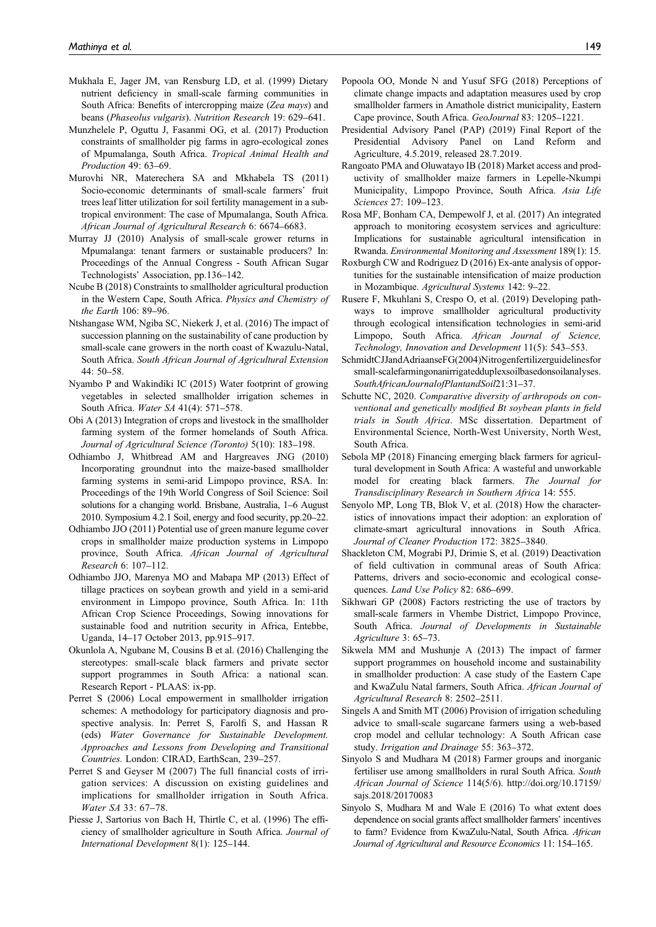- Mukhala E, Jager JM, van Rensburg LD, et al. (1999) Dietary nutrient deficiency in small-scale farming communities in South Africa: Benefits of intercropping maize (Zea mays) and beans (Phaseolus vulgaris). Nutrition Research 19: 629–641.
- Munzhelele P, Oguttu J, Fasanmi OG, et al. (2017) Production constraints of smallholder pig farms in agro-ecological zones of Mpumalanga, South Africa. Tropical Animal Health and Production 49: 63–69.
- Murovhi NR, Materechera SA and Mkhabela TS (2011) Socio-economic determinants of small-scale farmers' fruit trees leaf litter utilization for soil fertility management in a subtropical environment: The case of Mpumalanga, South Africa. African Journal of Agricultural Research 6: 6674–6683.
- Murray JJ (2010) Analysis of small-scale grower returns in Mpumalanga: tenant farmers or sustainable producers? In: Proceedings of the Annual Congress - South African Sugar Technologists' Association, pp.136–142.
- Ncube B (2018) Constraints to smallholder agricultural production in the Western Cape, South Africa. Physics and Chemistry of the Earth 106: 89–96.
- Ntshangase WM, Ngiba SC, Niekerk J, et al. (2016) The impact of succession planning on the sustainability of cane production by small-scale cane growers in the north coast of Kwazulu-Natal, South Africa. South African Journal of Agricultural Extension  $44 \cdot 50 - 58$
- Nyambo P and Wakindiki IC (2015) Water footprint of growing vegetables in selected smallholder irrigation schemes in South Africa. Water SA 41(4): 571–578.
- Obi A (2013) Integration of crops and livestock in the smallholder farming system of the former homelands of South Africa. Journal of Agricultural Science (Toronto) 5(10): 183–198.
- Odhiambo J, Whitbread AM and Hargreaves JNG (2010) Incorporating groundnut into the maize-based smallholder farming systems in semi-arid Limpopo province, RSA. In: Proceedings of the 19th World Congress of Soil Science: Soil solutions for a changing world. Brisbane, Australia, 1–6 August 2010. Symposium 4.2.1 Soil, energy and food security, pp.20–22.
- Odhiambo JJO (2011) Potential use of green manure legume cover crops in smallholder maize production systems in Limpopo province, South Africa. African Journal of Agricultural Research 6: 107–112.
- Odhiambo JJO, Marenya MO and Mabapa MP (2013) Effect of tillage practices on soybean growth and yield in a semi-arid environment in Limpopo province, South Africa. In: 11th African Crop Science Proceedings, Sowing innovations for sustainable food and nutrition security in Africa, Entebbe, Uganda, 14–17 October 2013, pp.915–917.
- Okunlola A, Ngubane M, Cousins B et al. (2016) Challenging the stereotypes: small-scale black farmers and private sector support programmes in South Africa: a national scan. Research Report - PLAAS: ix-pp.
- Perret S (2006) Local empowerment in smallholder irrigation schemes: A methodology for participatory diagnosis and prospective analysis. In: Perret S, Farolfi S, and Hassan R (eds) Water Governance for Sustainable Development. Approaches and Lessons from Developing and Transitional Countries. London: CIRAD, EarthScan, 239–257.
- Perret S and Geyser M (2007) The full financial costs of irrigation services: A discussion on existing guidelines and implications for smallholder irrigation in South Africa. Water SA 33: 67–78.
- Piesse J, Sartorius von Bach H, Thirtle C, et al. (1996) The efficiency of smallholder agriculture in South Africa. Journal of International Development 8(1): 125–144.
- Popoola OO, Monde N and Yusuf SFG (2018) Perceptions of climate change impacts and adaptation measures used by crop smallholder farmers in Amathole district municipality, Eastern Cape province, South Africa. GeoJournal 83: 1205–1221.
- Presidential Advisory Panel (PAP) (2019) Final Report of the Presidential Advisory Panel on Land Reform and Agriculture, 4.5.2019, released 28.7.2019.
- Rangoato PMA and Oluwatayo IB (2018) Market access and productivity of smallholder maize farmers in Lepelle-Nkumpi Municipality, Limpopo Province, South Africa. Asia Life Sciences 27: 109–123.
- Rosa MF, Bonham CA, Dempewolf J, et al. (2017) An integrated approach to monitoring ecosystem services and agriculture: Implications for sustainable agricultural intensification in Rwanda. Environmental Monitoring and Assessment 189(1): 15.
- Roxburgh CW and Rodriguez D (2016) Ex-ante analysis of opportunities for the sustainable intensification of maize production in Mozambique. Agricultural Systems 142: 9–22.
- Rusere F, Mkuhlani S, Crespo O, et al. (2019) Developing pathways to improve smallholder agricultural productivity through ecological intensification technologies in semi-arid Limpopo, South Africa. African Journal of Science, Technology, Innovation and Development 11(5): 543–553.
- SchmidtCJJandAdriaanseFG(2004)Nitrogenfertilizerguidelinesfor small-scalefarmingonanirrigatedduplexsoilbasedonsoilanalyses. SouthAfricanJournalofPlantandSoil21:31–37.
- Schutte NC, 2020. Comparative diversity of arthropods on conventional and genetically modified Bt soybean plants in field trials in South Africa. MSc dissertation. Department of Environmental Science, North-West University, North West, South Africa.
- Sebola MP (2018) Financing emerging black farmers for agricultural development in South Africa: A wasteful and unworkable model for creating black farmers. The Journal for Transdisciplinary Research in Southern Africa 14: 555.
- Senyolo MP, Long TB, Blok V, et al. (2018) How the characteristics of innovations impact their adoption: an exploration of climate-smart agricultural innovations in South Africa. Journal of Cleaner Production 172: 3825–3840.
- Shackleton CM, Mograbi PJ, Drimie S, et al. (2019) Deactivation of field cultivation in communal areas of South Africa: Patterns, drivers and socio-economic and ecological consequences. Land Use Policy 82: 686–699.
- Sikhwari GP (2008) Factors restricting the use of tractors by small-scale farmers in Vhembe District, Limpopo Province, South Africa. Journal of Developments in Sustainable Agriculture 3: 65–73.
- Sikwela MM and Mushunje A (2013) The impact of farmer support programmes on household income and sustainability in smallholder production: A case study of the Eastern Cape and KwaZulu Natal farmers, South Africa. African Journal of Agricultural Research 8: 2502–2511.
- Singels A and Smith MT (2006) Provision of irrigation scheduling advice to small-scale sugarcane farmers using a web-based crop model and cellular technology: A South African case study. Irrigation and Drainage 55: 363–372.
- Sinyolo S and Mudhara M (2018) Farmer groups and inorganic fertiliser use among smallholders in rural South Africa. South African Journal of Science 114(5/6). [http://doi.org/10.17159/](http://doi.org/10.17159/ sajs.2018/20170083) [sajs.2018/20170083](http://doi.org/10.17159/ sajs.2018/20170083)
- Sinyolo S, Mudhara M and Wale E (2016) To what extent does dependence on social grants affect smallholder farmers' incentives to farm? Evidence from KwaZulu-Natal, South Africa. African Journal of Agricultural and Resource Economics 11: 154–165.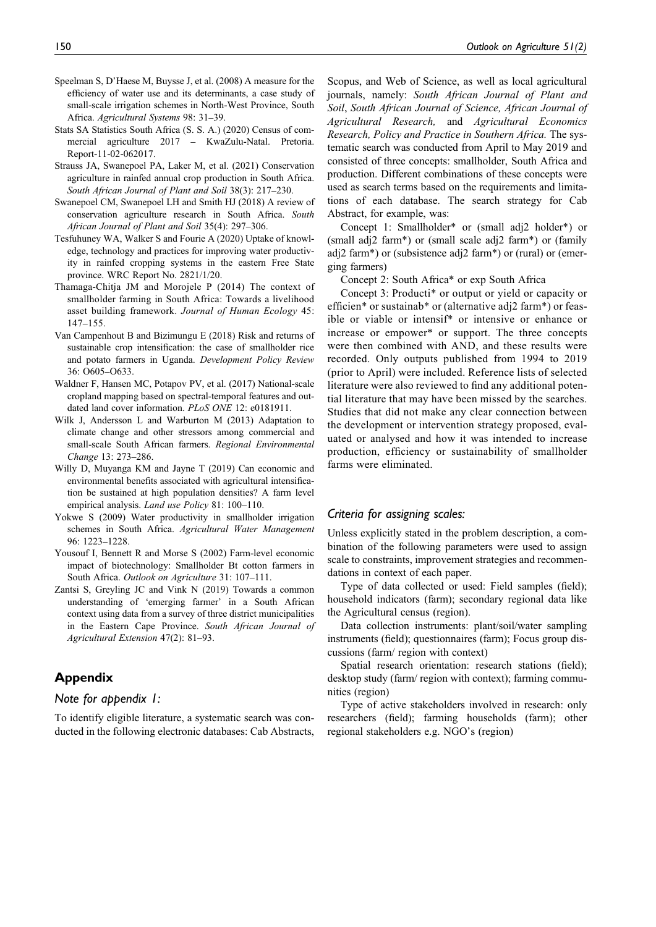- Speelman S, D'Haese M, Buysse J, et al. (2008) A measure for the efficiency of water use and its determinants, a case study of small-scale irrigation schemes in North-West Province, South Africa. Agricultural Systems 98: 31–39.
- Stats SA Statistics South Africa (S. S. A.) (2020) Census of commercial agriculture 2017 – KwaZulu-Natal. Pretoria. Report-11-02-062017.
- Strauss JA, Swanepoel PA, Laker M, et al. (2021) Conservation agriculture in rainfed annual crop production in South Africa. South African Journal of Plant and Soil 38(3): 217–230.
- Swanepoel CM, Swanepoel LH and Smith HJ (2018) A review of conservation agriculture research in South Africa. South African Journal of Plant and Soil 35(4): 297–306.
- Tesfuhuney WA, Walker S and Fourie A (2020) Uptake of knowledge, technology and practices for improving water productivity in rainfed cropping systems in the eastern Free State province. WRC Report No. 2821/1/20.
- Thamaga-Chitja JM and Morojele P (2014) The context of smallholder farming in South Africa: Towards a livelihood asset building framework. Journal of Human Ecology 45: 147–155.
- Van Campenhout B and Bizimungu E (2018) Risk and returns of sustainable crop intensification: the case of smallholder rice and potato farmers in Uganda. Development Policy Review 36: O605–O633.
- Waldner F, Hansen MC, Potapov PV, et al. (2017) National-scale cropland mapping based on spectral-temporal features and outdated land cover information. PLoS ONE 12: e0181911.
- Wilk J, Andersson L and Warburton M (2013) Adaptation to climate change and other stressors among commercial and small-scale South African farmers. Regional Environmental Change 13: 273–286.
- Willy D, Muyanga KM and Jayne T (2019) Can economic and environmental benefits associated with agricultural intensification be sustained at high population densities? A farm level empirical analysis. Land use Policy 81: 100-110.
- Yokwe S (2009) Water productivity in smallholder irrigation schemes in South Africa. Agricultural Water Management 96: 1223–1228.
- Yousouf I, Bennett R and Morse S (2002) Farm-level economic impact of biotechnology: Smallholder Bt cotton farmers in South Africa. Outlook on Agriculture 31: 107–111.
- Zantsi S, Greyling JC and Vink N (2019) Towards a common understanding of 'emerging farmer' in a South African context using data from a survey of three district municipalities in the Eastern Cape Province. South African Journal of Agricultural Extension 47(2): 81–93.

# Appendix

## Note for appendix 1:

To identify eligible literature, a systematic search was conducted in the following electronic databases: Cab Abstracts,

Scopus, and Web of Science, as well as local agricultural journals, namely: South African Journal of Plant and Soil, South African Journal of Science, African Journal of Agricultural Research, and Agricultural Economics Research, Policy and Practice in Southern Africa. The systematic search was conducted from April to May 2019 and consisted of three concepts: smallholder, South Africa and production. Different combinations of these concepts were used as search terms based on the requirements and limitations of each database. The search strategy for Cab Abstract, for example, was:

Concept 1: Smallholder\* or (small adj2 holder\*) or (small adj2 farm\*) or (small scale adj2 farm\*) or (family adj2 farm\*) or (subsistence adj2 farm\*) or (rural) or (emerging farmers)

Concept 2: South Africa\* or exp South Africa

Concept 3: Producti\* or output or yield or capacity or efficien\* or sustainab\* or (alternative adj2 farm\*) or feasible or viable or intensif\* or intensive or enhance or increase or empower\* or support. The three concepts were then combined with AND, and these results were recorded. Only outputs published from 1994 to 2019 (prior to April) were included. Reference lists of selected literature were also reviewed to find any additional potential literature that may have been missed by the searches. Studies that did not make any clear connection between the development or intervention strategy proposed, evaluated or analysed and how it was intended to increase production, efficiency or sustainability of smallholder farms were eliminated.

## Criteria for assigning scales:

Unless explicitly stated in the problem description, a combination of the following parameters were used to assign scale to constraints, improvement strategies and recommendations in context of each paper.

Type of data collected or used: Field samples (field); household indicators (farm); secondary regional data like the Agricultural census (region).

Data collection instruments: plant/soil/water sampling instruments (field); questionnaires (farm); Focus group discussions (farm/ region with context)

Spatial research orientation: research stations (field); desktop study (farm/ region with context); farming communities (region)

Type of active stakeholders involved in research: only researchers (field); farming households (farm); other regional stakeholders e.g. NGO's (region)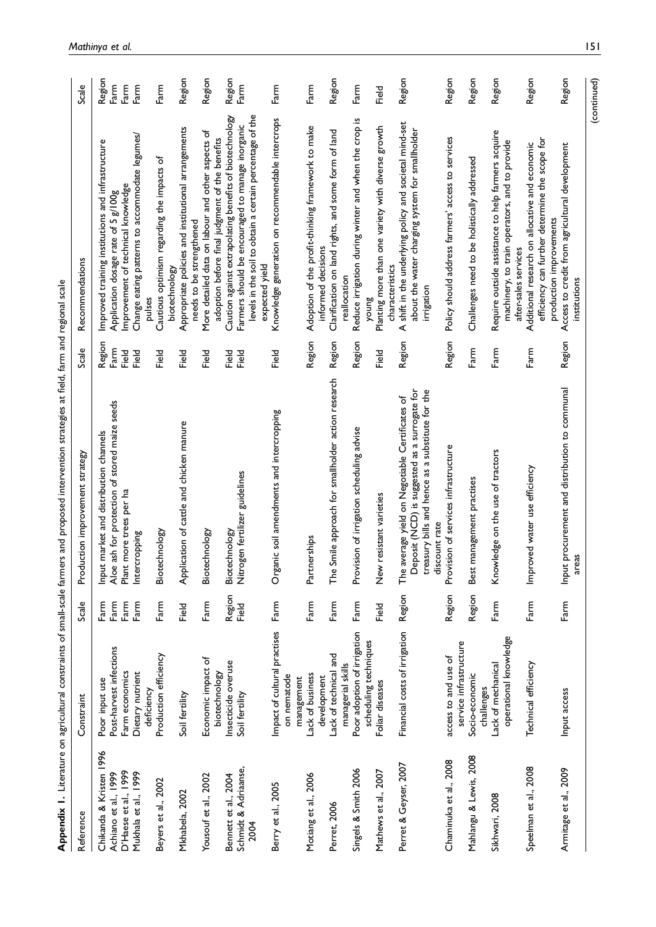|                              | Appendix 1. Literature on agricultural constraints of small-scale farm |                 | ers and proposed intervention strategies at field, farm and regional scale                          |              |                                                                                                              |                |
|------------------------------|------------------------------------------------------------------------|-----------------|-----------------------------------------------------------------------------------------------------|--------------|--------------------------------------------------------------------------------------------------------------|----------------|
| Reference                    | Constraint                                                             | Scale           | Production improvement strategy                                                                     | Scale        | Recommendations                                                                                              | Scale          |
| Chikanda & Kristen 1996      | Poor input use                                                         | Farm<br>Farm    | Input market and distribution channels                                                              | Region       | Improved training institutions and infrastructure                                                            | Region         |
| Achiano et al., 1999         | Post-harvest infections                                                |                 | Aloe ash for protection of stored maize seeds                                                       | Farm         | Application dosage rate of 5 g/100g                                                                          | $F_{\rm arm}$  |
| D'Haese et al., 1999         | Farm economics                                                         | Farm            | Plant more trees per ha                                                                             | Field        | Improvement of technical knowledge                                                                           | Farm           |
| Mukhala et al., 1999         | Dietary nutrient<br>deficiency                                         | Farm            | Intercropping                                                                                       | Field        | Change eating patterns to accommodate legumes/<br>pulses                                                     | Farm           |
| Beyers et al., 2002          | Production efficiency                                                  | Farm            | echnology:<br><u>Siot</u>                                                                           | <b>Field</b> | Cautious optimism regarding the impacts of                                                                   | Farm           |
|                              |                                                                        |                 |                                                                                                     |              | biotechnology                                                                                                |                |
| Mkhabela, 2002               | Soil fertility                                                         | Field           | Application of cattle and chicken manure                                                            | <b>Field</b> | Appropriate policies and institutional arrangements<br>needs to be strengthened                              | Region         |
| Yousouf et al., 2002         | Economic impact of                                                     | Farm            | echnology:<br>Biot                                                                                  | <b>Field</b> | More detailed data on labour and other aspects of                                                            | Region         |
|                              | biotechnology                                                          |                 |                                                                                                     |              | adoption before final judgment of the benefits                                                               |                |
| Bennett et al., 2004         | Insecticide overuse                                                    | Region<br>Field | Biotechnology                                                                                       | Field        | Caution against extrapolating benefits of biotechnology                                                      | Region<br>Farm |
| Schmidt & Adriaanse,<br>2004 | Soil fertility                                                         |                 | Nitrogen fertilizer guidelines                                                                      | Field        | levels in the soil to obtain a certain percentage of the<br>Farmers should be encouraged to manage inorganic |                |
|                              |                                                                        |                 |                                                                                                     |              | expected yield                                                                                               |                |
| Berry et al., 2005           | Impact of cultural practises<br>on nematode                            | Farm            | Organic soil amendments and intercropping                                                           | <b>Field</b> | Knowledge generation on recommendable intercrops                                                             | Farm           |
|                              | management                                                             |                 |                                                                                                     |              |                                                                                                              |                |
| Motiang et al., 2006         | Lack of business                                                       | Farm            | Partnerships                                                                                        | Region       | Adoption of the profit-thinking framework to make                                                            | Farm           |
|                              | development                                                            |                 |                                                                                                     |              | informed decisions                                                                                           |                |
| Perret, 2006                 | Lack of technical and                                                  | Farm            | Smile approach for smallholder action research<br>$F^e$                                             | Region       | Clarification on land rights, and some form of land                                                          | Region         |
|                              | managerial skills                                                      |                 |                                                                                                     |              | reallocation                                                                                                 |                |
| Singels & Smith 2006         | Poor adoption of irrigation                                            | Farm            | Provision of irrigation scheduling advise                                                           | Region       | Reduce irrigation during winter and when the crop is                                                         | Farm           |
|                              | scheduling techniques                                                  |                 |                                                                                                     |              | <b>Sunck</b>                                                                                                 |                |
| Mathews et al., 2007         | Foliar diseases                                                        | <b>Pield</b>    | New resistant varieties                                                                             | <b>Field</b> | Planting more than one variety with diverse growth<br>characteristics                                        | Field          |
| Perret & Geyser, 2007        | Financial costs of irrigation                                          | Region          | Deposit (NCD) is suggested as a surrogate for<br>average yield on Negotiable Certificates of<br>The | Region       | A shift in the underlying policy and societal mind-set<br>about the water charging system for smallholder    | Region         |
|                              |                                                                        |                 | treasury bills and hence as a substitute for the<br>discount rate                                   |              | irrigation                                                                                                   |                |
| Chaminuka et al., 2008       | access to and use of                                                   | Region          | Provision of services infrastructure                                                                | Region       | Policy should address farmers' access to services                                                            | Region         |
|                              | service infrastructure                                                 |                 |                                                                                                     |              |                                                                                                              |                |
| Mahlangu & Lewis, 2008       | Socio-economic<br>challenges                                           | Region          | management practises<br>Best                                                                        | Farm         | Challenges need to be holistically addressed                                                                 | Region         |
| Sikhwari, 2008               | Lack of mechanical                                                     | Farm            | Knowledge on the use of tractors                                                                    | Farm         | Require outside assistance to help farmers acquire                                                           | Region         |
|                              | operational knowledge                                                  |                 |                                                                                                     |              | machinery, to train operators, and to provide<br>after-sales services                                        |                |
| Speelman et al., 2008        | Technical efficiency                                                   | Farm            | Improved water use efficiency                                                                       | Farm         | Additional research on allocative and economic                                                               | Region         |
|                              |                                                                        |                 |                                                                                                     |              | efficiency can further determine the scope for<br>production improvements                                    |                |
| Armitage et al., 2009        | Input access                                                           | Farm            | Input procurement and distribution to communal<br>areas                                             | Region       | Access to credit from agricultural development<br>institutions                                               | Region         |

(continued)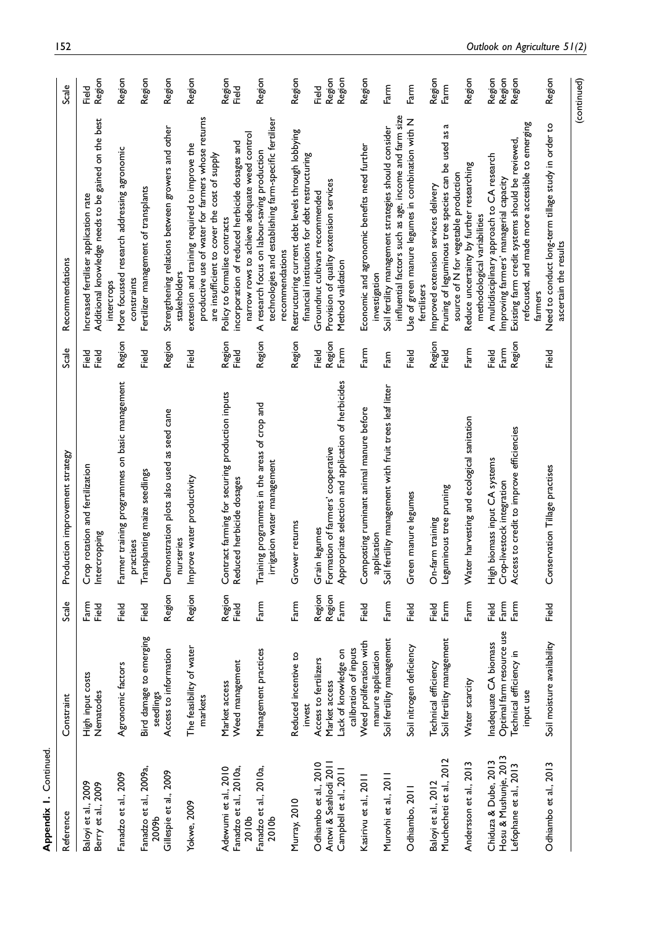| Reference                                                               | Constraint                                                                                 | Scale                        | Production improvement strategy                                                                         | Scale                   | Recommendations                                                                                                                                                                                         | Scale                      |
|-------------------------------------------------------------------------|--------------------------------------------------------------------------------------------|------------------------------|---------------------------------------------------------------------------------------------------------|-------------------------|---------------------------------------------------------------------------------------------------------------------------------------------------------------------------------------------------------|----------------------------|
| Baloyi et al., 2009<br>Berry et al., 2009                               | High input costs<br>Nematodes                                                              | Farm<br>Field                | Crop rotation and fertilization<br>Intercropping                                                        | Field<br>Field          | Additional knowledge needs to be gained on the best<br>Increased fertiliser application rate                                                                                                            | Region<br><b>Field</b>     |
| Fanadzo et al., 2009                                                    | Agronomic factors                                                                          | Field                        | Farmer training programmes on basic management                                                          | Region                  | More focussed research addressing agronomic<br>intercrops                                                                                                                                               | Region                     |
| Fanadzo et al., 2009a,<br>2009b                                         | Bird damage to emerging<br>seedlings                                                       | Field                        | Transplanting maize seedlings<br>practises                                                              | Field                   | Fertilizer management of transplants<br>constraints                                                                                                                                                     | Region                     |
| Gillespie et al., 2009                                                  | Access to information                                                                      | Region                       | Demonstration plots also used as seed cane<br>nurseries                                                 | Region                  | Strengthening relations between growers and other<br>stakeholders                                                                                                                                       | Region                     |
| <b>Yokwe</b> , 2009                                                     | The feasibility of water<br>markets                                                        | Region                       | Improve water productivity                                                                              | <b>Pield</b>            | productive use of water for farmers whose returns<br>extension and training required to improve the<br>are insufficient to cover the cost of supply                                                     | Region                     |
| Adewumi et al., 2010<br>Fanadzo et al., 2010a,<br>2010 <sub>b</sub>     | Weed management<br>Market access                                                           | Region<br>Field              | Contract farming for securing production inputs<br>Reduced herbicide dosages                            | Region<br>Field         | narrow rows to achieve adequate weed control<br>incorporation of reduced herbicide dosages and<br>Policy to formalise contracts                                                                         | Region<br>Field            |
| Fanadzo et al., 2010a,<br>2010 <sub>b</sub>                             | Management practices                                                                       | Farm                         | Training programmes in the areas of crop and<br>irrigation water management                             | Region                  | technologies and establishing farm-specific fertiliser<br>A research focus on labour-saving production<br>recommendations                                                                               | Region                     |
| Murray, 2010                                                            | Reduced incentive to<br>invest                                                             | Farm                         | Grower returns                                                                                          | Region                  | Restructuring current debt levels through lobbying<br>financial institutions for debt restructuring                                                                                                     | Region                     |
| Odhiambo et al., 2010                                                   | Access to fertilizers                                                                      | Region                       | Grain legumes                                                                                           | Field                   | Groundnut cultivars recommended                                                                                                                                                                         | Field                      |
| Antwi & Seahlodi 2011<br>Campbell et al., 2011                          | Lack of knowledge on<br>Market access                                                      | Region<br>Farn               | Appropriate selection and application of herbicides<br>Formation of farmers' cooperative                | Region<br>Farm          | Provision of quality extension services<br>Method validation                                                                                                                                            | Region<br>Region           |
| Kasirivu et al., 2011                                                   | Weed proliferation with<br>calibration of inputs                                           | <b>Pield</b>                 | Composting ruminant animal manure before                                                                | Farm                    | Economic and agronomic benefits need further                                                                                                                                                            | Region                     |
| Murovhi et al., 2011                                                    | Soil fertility management<br>manure application                                            | Farm                         | fertility management with fruit trees leaf litter<br>plication<br>e<br>Soil                             | $F_{\text{am}}$         | influential factors such as age, income and farm size<br>Soil fertility management strategies should consider<br>investigation                                                                          | Farm                       |
| Odhiambo, 2011                                                          | Soil nitrogen deficiency                                                                   | Field                        | Green manure legumes                                                                                    | Field                   | Use of green manure legumes in combination with N<br>fertilisers                                                                                                                                        | Farm                       |
| Muchecheti et al., 2012<br>Baloyi et al., 2012                          | Soil fertility management<br>Technical efficiency                                          | Farm<br>Field                | Leguminous tree pruning<br>On-farm training                                                             | Region<br>Field         | Ч<br>Pruning of leguminous tree species can be used as<br>source of N for vegetable production<br>Improved extension services delivery                                                                  | Region<br>Farm             |
| Andersson et al., 2013                                                  | Water scarcity                                                                             | Farm                         | Water harvesting and ecological sanitation                                                              | Farn                    | Reduce uncertainty by further researching<br>methodological variabilities                                                                                                                               | Region                     |
| Hosu & Mushunje, 2013<br>Chiduza & Dube, 2013<br>Lefophane et al., 2013 | Optimal farm resource use<br>Inadequate CA biomass<br>Technical efficiency in<br>input use | Farm<br>Farm<br><b>Pield</b> | Access to credit to improve efficiencies<br>High biomass input CA systems<br>Crop-livestock integration | Region<br>Farm<br>Field | refocused, and made more accessible to emerging<br>Existing farm credit systems should be reviewed,<br>A multidisciplinary approach to CA research<br>Improving farmers' managerial capacity<br>farmers | Region<br>Region<br>Region |
| Odhiambo et al., 2013                                                   | Soil moisture availability                                                                 | Field                        | Conservation Tillage practises                                                                          | Field                   | Need to conduct long-term tillage study in order to<br>ascertain the results                                                                                                                            | Region                     |
|                                                                         |                                                                                            |                              |                                                                                                         |                         |                                                                                                                                                                                                         | (continued)                |

Appendix 1. Continued.

Appendix 1. Continued.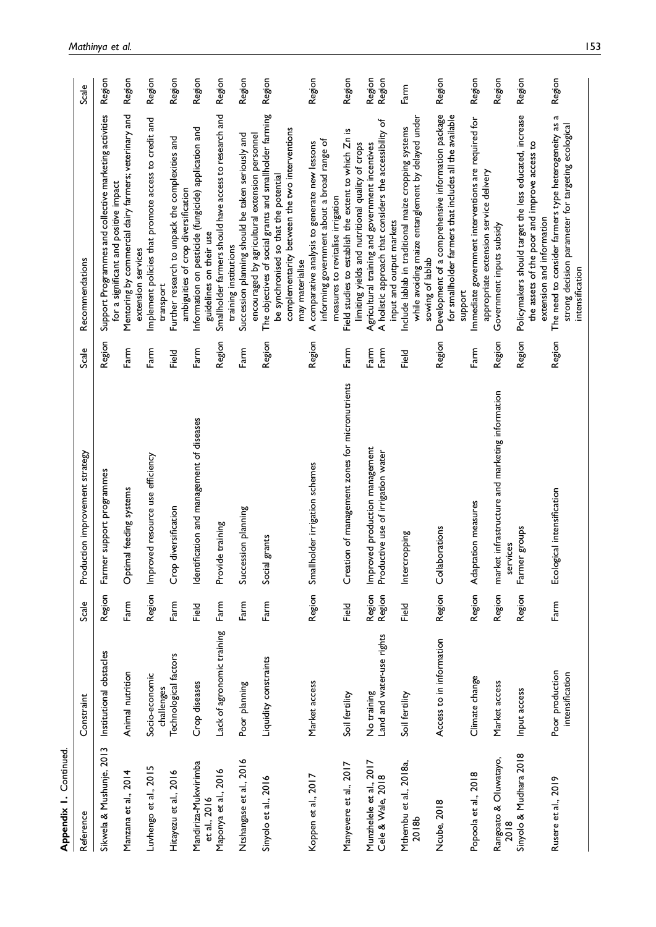| Appendix 1. Continued                       |                                    |                  |                                                             |               |                                                                                                                                                                      |        |
|---------------------------------------------|------------------------------------|------------------|-------------------------------------------------------------|---------------|----------------------------------------------------------------------------------------------------------------------------------------------------------------------|--------|
| Reference                                   | Constraint                         | Scale            | Production improvement strategy                             | Scale         | Recommendations                                                                                                                                                      | Scale  |
| Sikwela & Mushunje, 2013                    | Institutional obstacles            | Region           | mer support programmes<br>뎥                                 | Region        | Support Programmes and collective marketing activities<br>for a significant and positive impact                                                                      | Region |
| Manzana et al., 2014                        | Animal nutrition                   | Farm             | Optimal feeding systems                                     | Farm          | Mentoring by commercial dairy farmers; veterinary and<br>extension services                                                                                          | Region |
| Luvhengo et al., 2015                       | Socio-economic<br>challenges       | Region           | Improved resource use efficiency                            | Farm          | Implement policies that promote access to credit and<br>transport                                                                                                    | Region |
| Hitayezu et al., 2016                       | Technological factors              | Farm             | Crop diversification                                        | Pier<br>Field | Further research to unpack the complexities and                                                                                                                      | Region |
| Mandiriza-Mukwirimba<br>et al., 2016        | Crop diseases                      | <b>Pield</b>     | Identification and management of diseases                   | Farm          | Information on pesticide (fungicide) application and<br>ambiguities of crop diversification<br>guidelines on their use                                               | Region |
| Maponya et al., 2016                        | Lack of agronomic training         | Farm             | Provide training                                            | Region        | Smallholder farmers should have access to research and                                                                                                               | Region |
| Ntshangase et al., 2016                     | Poor planning                      | Farm             | Succession planning                                         | ${\sf Farm}$  | Succession planning should be taken seriously and<br>training institutions                                                                                           | Region |
| Sinyolo et al., 2016                        | Liquidity constraints              | Farm             | Social grants                                               | Region        | The objectives of social grants and smallholder farming<br>encouraged by agricultural extension personnel                                                            | Region |
|                                             |                                    |                  |                                                             |               | complementarity between the two interventions<br>be synchronised so that the potential<br>may materialise                                                            |        |
| Koppen et al., 2017                         | Market access                      | Region           | Smallholder irrigation schemes                              | Region        | informing government about a broad range of<br>comparative analysis to generate new lessons<br>⋖                                                                     | Region |
| Manyevere et al., 2017                      | Soil fertility                     | Field            | Creation of management zones for micronutrients             | Farm          | Field studies to establish the extent to which Zn is<br>measures to revitalise irrigation                                                                            | Region |
| Munzhelele et al., 2017                     | No training                        | Region<br>Region | Improved production management                              | Farm          | limiting yields and nutritional quality of crops<br>Agricultural training and government incentives                                                                  | Region |
| Cele & Wale, 2018                           | Land and water-use rights          |                  | Productive use of irrigation water                          | Farm          | A holistic approach that considers the accessibility of<br>input and output markets                                                                                  | Region |
| Mthembu et al., 2018a,<br>2018 <sub>b</sub> | Soil fertility                     | Field            | Intercropping                                               | Field         | while avoiding maize entanglement by delayed under<br>Include lablab in traditional maize cropping systems<br>sowing of lablab                                       | Farm   |
| Ncube, 2018                                 | Access to in information           | Region           | Collaborations                                              | Region        | Development of a comprehensive information package<br>for smallholder farmers that includes all the available                                                        | Region |
| Popoola et al., 2018                        | Climate change                     | Region           | Adaptation measures                                         | Farm          | Immediate government interventions are required for<br>support                                                                                                       | Region |
| Rangoato & Oluwatayo,<br>2018               | Market access                      | Region           | market infrastructure and marketing information<br>services | Region        | appropriate extension service delivery<br>Government inputs subsidy                                                                                                  | Region |
| Sinyolo & Mudhara 2018                      | Input access                       | Region           | Farmer groups                                               | Region        | Policymakers should target the less educated, increase<br>the assets of the poor and improve access to                                                               | Region |
| Rusere et al., 2019                         | Poor production<br>intensification | Farm             | Ecological intensification                                  | Region        | <b>G</b><br>The need to consider farmers type heterogeneity as<br>strong decision parameter for targeting ecological<br>extension and information<br>intensification | Region |